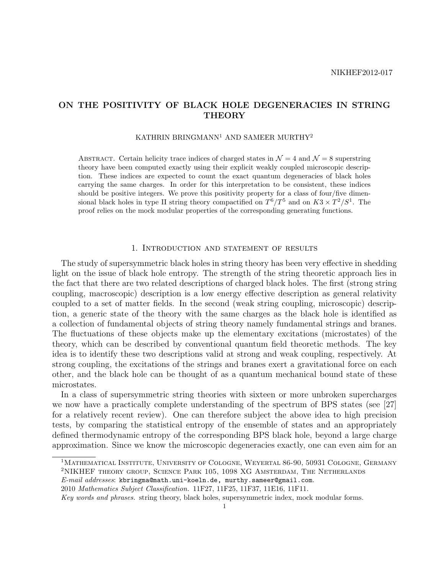## ON THE POSITIVITY OF BLACK HOLE DEGENERACIES IN STRING **THEORY**

## KATHRIN BRINGMANN<sup>1</sup> AND SAMEER MURTHY<sup>2</sup>

ABSTRACT. Certain helicity trace indices of charged states in  $\mathcal{N}=4$  and  $\mathcal{N}=8$  superstring theory have been computed exactly using their explicit weakly coupled microscopic description. These indices are expected to count the exact quantum degeneracies of black holes carrying the same charges. In order for this interpretation to be consistent, these indices should be positive integers. We prove this positivity property for a class of four/five dimensional black holes in type II string theory compactified on  $T^6/T^5$  and on  $K3 \times T^2/S^1$ . The proof relies on the mock modular properties of the corresponding generating functions.

## 1. Introduction and statement of results

The study of supersymmetric black holes in string theory has been very effective in shedding light on the issue of black hole entropy. The strength of the string theoretic approach lies in the fact that there are two related descriptions of charged black holes. The first (strong string coupling, macroscopic) description is a low energy effective description as general relativity coupled to a set of matter fields. In the second (weak string coupling, microscopic) description, a generic state of the theory with the same charges as the black hole is identified as a collection of fundamental objects of string theory namely fundamental strings and branes. The fluctuations of these objects make up the elementary excitations (microstates) of the theory, which can be described by conventional quantum field theoretic methods. The key idea is to identify these two descriptions valid at strong and weak coupling, respectively. At strong coupling, the excitations of the strings and branes exert a gravitational force on each other, and the black hole can be thought of as a quantum mechanical bound state of these microstates.

In a class of supersymmetric string theories with sixteen or more unbroken supercharges we now have a practically complete understanding of the spectrum of BPS states (see [27] for a relatively recent review). One can therefore subject the above idea to high precision tests, by comparing the statistical entropy of the ensemble of states and an appropriately defined thermodynamic entropy of the corresponding BPS black hole, beyond a large charge approximation. Since we know the microscopic degeneracies exactly, one can even aim for an

<sup>&</sup>lt;sup>1</sup>MATHEMATICAL INSTITUTE, UNIVERSITY OF COLOGNE, WEYERTAL 86-90, 50931 COLOGNE, GERMANY <sup>2</sup>NIKHEF theory group, Science Park 105, 1098 XG Amsterdam, The Netherlands

E-mail addresses: kbringma@math.uni-koeln.de, murthy.sameer@gmail.com.

<sup>2010</sup> Mathematics Subject Classification. 11F27, 11F25, 11F37, 11E16, 11F11.

Key words and phrases. string theory, black holes, supersymmetric index, mock modular forms.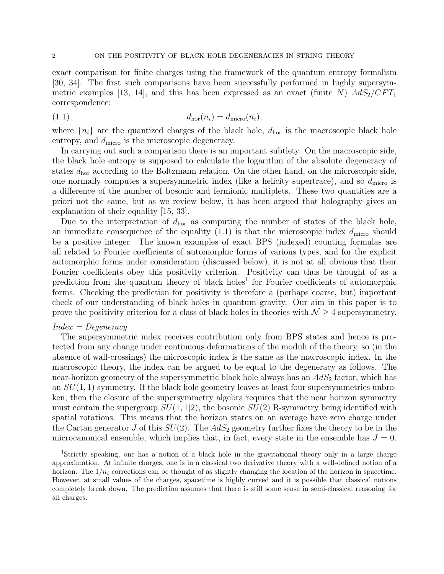exact comparison for finite charges using the framework of the quantum entropy formalism [30, 34]. The first such comparisons have been successfully performed in highly supersymmetric examples [13, 14], and this has been expressed as an exact (finite N)  $AdS_2/CFT_1$ correspondence:

$$
d_{\text{hor}}(n_i) = d_{\text{micro}}(n_i),
$$

where  $\{n_i\}$  are the quantized charges of the black hole,  $d_{\text{hor}}$  is the macroscopic black hole entropy, and  $d_{\text{micro}}$  is the microscopic degeneracy.

In carrying out such a comparison there is an important subtlety. On the macroscopic side, the black hole entropy is supposed to calculate the logarithm of the absolute degeneracy of states  $d_{\text{hor}}$  according to the Boltzmann relation. On the other hand, on the microscopic side, one normally computes a supersymmetric index (like a helicity supertrace), and so  $d<sub>micro</sub>$  is a difference of the number of bosonic and fermionic multiplets. These two quantities are a priori not the same, but as we review below, it has been argued that holography gives an explanation of their equality [15, 33].

Due to the interpretation of  $d_{\text{hor}}$  as computing the number of states of the black hole, an immediate consequence of the equality  $(1.1)$  is that the microscopic index  $d<sub>micro</sub>$  should be a positive integer. The known examples of exact BPS (indexed) counting formulas are all related to Fourier coefficients of automorphic forms of various types, and for the explicit automorphic forms under consideration (discussed below), it is not at all obvious that their Fourier coefficients obey this positivity criterion. Positivity can thus be thought of as a prediction from the quantum theory of black holes<sup>1</sup> for Fourier coefficients of automorphic forms. Checking the prediction for positivity is therefore a (perhaps coarse, but) important check of our understanding of black holes in quantum gravity. Our aim in this paper is to prove the positivity criterion for a class of black holes in theories with  $\mathcal{N} \geq 4$  supersymmetry.

## $Index = Degeneracy$

The supersymmetric index receives contribution only from BPS states and hence is protected from any change under continuous deformations of the moduli of the theory, so (in the absence of wall-crossings) the microscopic index is the same as the macroscopic index. In the macroscopic theory, the index can be argued to be equal to the degeneracy as follows. The near-horizon geometry of the supersymmetric black hole always has an  $AdS<sub>2</sub>$  factor, which has an  $SU(1,1)$  symmetry. If the black hole geometry leaves at least four supersymmetries unbroken, then the closure of the supersymmetry algebra requires that the near horizon symmetry must contain the supergroup  $SU(1, 1|2)$ , the bosonic  $SU(2)$  R-symmetry being identified with spatial rotations. This means that the horizon states on an average have zero charge under the Cartan generator J of this  $SU(2)$ . The  $AdS_2$  geometry further fixes the theory to be in the microcanonical ensemble, which implies that, in fact, every state in the ensemble has  $J = 0$ .

<sup>1</sup>Strictly speaking, one has a notion of a black hole in the gravitational theory only in a large charge approximation. At infinite charges, one is in a classical two derivative theory with a well-defined notion of a horizon. The  $1/n_i$  corrections can be thought of as slightly changing the location of the horizon in spacetime. However, at small values of the charges, spacetime is highly curved and it is possible that classical notions completely break down. The prediction assumes that there is still some sense in semi-classical reasoning for all charges.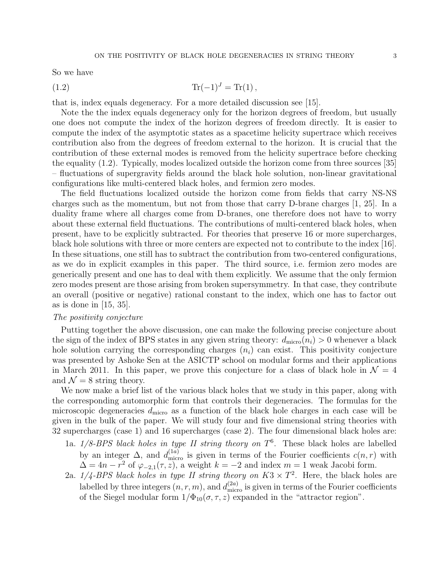So we have

(1.2) 
$$
\text{Tr}(-1)^{J} = \text{Tr}(1),
$$

that is, index equals degeneracy. For a more detailed discussion see [15].

Note the the index equals degeneracy only for the horizon degrees of freedom, but usually one does not compute the index of the horizon degrees of freedom directly. It is easier to compute the index of the asymptotic states as a spacetime helicity supertrace which receives contribution also from the degrees of freedom external to the horizon. It is crucial that the contribution of these external modes is removed from the helicity supertrace before checking the equality (1.2). Typically, modes localized outside the horizon come from three sources [35] – fluctuations of supergravity fields around the black hole solution, non-linear gravitational configurations like multi-centered black holes, and fermion zero modes.

The field fluctuations localized outside the horizon come from fields that carry NS-NS charges such as the momentum, but not from those that carry D-brane charges [1, 25]. In a duality frame where all charges come from D-branes, one therefore does not have to worry about these external field fluctuations. The contributions of multi-centered black holes, when present, have to be explicitly subtracted. For theories that preserve 16 or more supercharges, black hole solutions with three or more centers are expected not to contribute to the index [16]. In these situations, one still has to subtract the contribution from two-centered configurations, as we do in explicit examples in this paper. The third source, i.e. fermion zero modes are generically present and one has to deal with them explicitly. We assume that the only fermion zero modes present are those arising from broken supersymmetry. In that case, they contribute an overall (positive or negative) rational constant to the index, which one has to factor out as is done in [15, 35].

#### The positivity conjecture

Putting together the above discussion, one can make the following precise conjecture about the sign of the index of BPS states in any given string theory:  $d_{\text{micro}}(n_i) > 0$  whenever a black hole solution carrying the corresponding charges  $(n_i)$  can exist. This positivity conjecture was presented by Ashoke Sen at the ASICTP school on modular forms and their applications in March 2011. In this paper, we prove this conjecture for a class of black hole in  $\mathcal{N} = 4$ and  $\mathcal{N} = 8$  string theory.

We now make a brief list of the various black holes that we study in this paper, along with the corresponding automorphic form that controls their degeneracies. The formulas for the microscopic degeneracies  $d_{\text{micro}}$  as a function of the black hole charges in each case will be given in the bulk of the paper. We will study four and five dimensional string theories with 32 supercharges (case 1) and 16 supercharges (case 2). The four dimensional black holes are:

- 1a.  $1/8$ -BPS black holes in type II string theory on  $T^6$ . These black holes are labelled by an integer  $\Delta$ , and  $d_{\text{micro}}^{(1a)}$  is given in terms of the Fourier coefficients  $c(n,r)$  with  $\Delta = 4n - r^2$  of  $\varphi_{-2,1}(\tau, z)$ , a weight  $k = -2$  and index  $m = 1$  weak Jacobi form.
- 2a.  $1/4$ -BPS black holes in type II string theory on  $K3 \times T^2$ . Here, the black holes are labelled by three integers  $(n, r, m)$ , and  $d_{\text{micro}}^{(2a)}$  is given in terms of the Fourier coefficients of the Siegel modular form  $1/\Phi_{10}(\sigma, \tau, z)$  expanded in the "attractor region".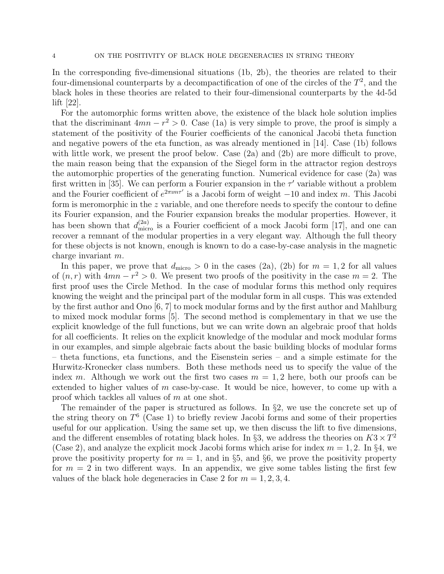In the corresponding five-dimensional situations (1b, 2b), the theories are related to their four-dimensional counterparts by a decompactification of one of the circles of the  $T^2$ , and the black holes in these theories are related to their four-dimensional counterparts by the 4d-5d lift [22].

For the automorphic forms written above, the existence of the black hole solution implies that the discriminant  $4mn - r^2 > 0$ . Case (1a) is very simple to prove, the proof is simply a statement of the positivity of the Fourier coefficients of the canonical Jacobi theta function and negative powers of the eta function, as was already mentioned in [14]. Case (1b) follows with little work, we present the proof below. Case  $(2a)$  and  $(2b)$  are more difficult to prove, the main reason being that the expansion of the Siegel form in the attractor region destroys the automorphic properties of the generating function. Numerical evidence for case (2a) was first written in [35]. We can perform a Fourier expansion in the  $\tau'$  variable without a problem and the Fourier coefficient of  $e^{2\pi im\tau'}$  is a Jacobi form of weight  $-10$  and index m. This Jacobi form is meromorphic in the  $z$  variable, and one therefore needs to specify the contour to define its Fourier expansion, and the Fourier expansion breaks the modular properties. However, it has been shown that  $d_{\text{micro}}^{(2a)}$  is a Fourier coefficient of a mock Jacobi form [17], and one can recover a remnant of the modular properties in a very elegant way. Although the full theory for these objects is not known, enough is known to do a case-by-case analysis in the magnetic charge invariant m.

In this paper, we prove that  $d_{\text{micro}} > 0$  in the cases (2a), (2b) for  $m = 1, 2$  for all values of  $(n, r)$  with  $4mn - r^2 > 0$ . We present two proofs of the positivity in the case  $m = 2$ . The first proof uses the Circle Method. In the case of modular forms this method only requires knowing the weight and the principal part of the modular form in all cusps. This was extended by the first author and Ono [6, 7] to mock modular forms and by the first author and Mahlburg to mixed mock modular forms [5]. The second method is complementary in that we use the explicit knowledge of the full functions, but we can write down an algebraic proof that holds for all coefficients. It relies on the explicit knowledge of the modular and mock modular forms in our examples, and simple algebraic facts about the basic building blocks of modular forms – theta functions, eta functions, and the Eisenstein series – and a simple estimate for the Hurwitz-Kronecker class numbers. Both these methods need us to specify the value of the index m. Although we work out the first two cases  $m = 1, 2$  here, both our proofs can be extended to higher values of  $m$  case-by-case. It would be nice, however, to come up with a proof which tackles all values of m at one shot.

The remainder of the paper is structured as follows. In  $\S$ 2, we use the concrete set up of the string theory on  $T^6$  (Case 1) to briefly review Jacobi forms and some of their properties useful for our application. Using the same set up, we then discuss the lift to five dimensions, and the different ensembles of rotating black holes. In §3, we address the theories on  $K3 \times T^2$ (Case 2), and analyze the explicit mock Jacobi forms which arise for index  $m = 1, 2$ . In §4, we prove the positivity property for  $m = 1$ , and in §5, and §6, we prove the positivity property for  $m = 2$  in two different ways. In an appendix, we give some tables listing the first few values of the black hole degeneracies in Case 2 for  $m = 1, 2, 3, 4$ .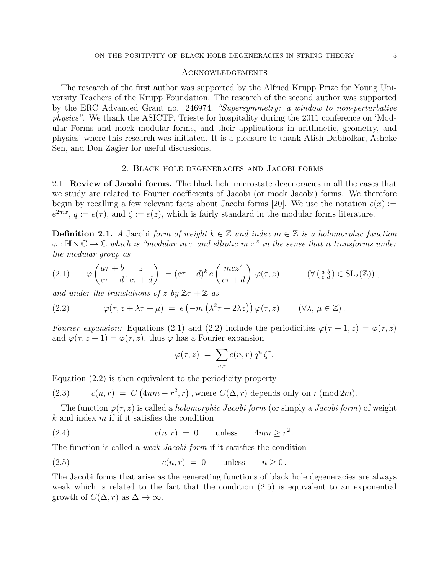### Acknowledgements

The research of the first author was supported by the Alfried Krupp Prize for Young University Teachers of the Krupp Foundation. The research of the second author was supported by the ERC Advanced Grant no. 246974, "Supersymmetry: a window to non-perturbative physics". We thank the ASICTP, Trieste for hospitality during the 2011 conference on 'Modular Forms and mock modular forms, and their applications in arithmetic, geometry, and physics' where this research was initiated. It is a pleasure to thank Atish Dabholkar, Ashoke Sen, and Don Zagier for useful discussions.

#### 2. Black hole degeneracies and Jacobi forms

2.1. Review of Jacobi forms. The black hole microstate degeneracies in all the cases that we study are related to Fourier coefficients of Jacobi (or mock Jacobi) forms. We therefore begin by recalling a few relevant facts about Jacobi forms [20]. We use the notation  $e(x) :=$  $e^{2\pi ix}$ ,  $q := e(\tau)$ , and  $\zeta := e(z)$ , which is fairly standard in the modular forms literature.

**Definition 2.1.** A Jacobi form of weight  $k \in \mathbb{Z}$  and index  $m \in \mathbb{Z}$  is a holomorphic function  $\varphi : \mathbb{H} \times \mathbb{C} \to \mathbb{C}$  which is "modular in  $\tau$  and elliptic in  $z$ " in the sense that it transforms under the modular group as

(2.1) 
$$
\varphi\left(\frac{a\tau+b}{c\tau+d},\frac{z}{c\tau+d}\right) = (c\tau+d)^k e\left(\frac{mcz^2}{c\tau+d}\right)\varphi(\tau,z) \qquad (\forall (\begin{array}{c} a & b \\ c & d \end{array}) \in SL_2(\mathbb{Z})) ,
$$

and under the translations of z by  $\mathbb{Z} \tau + \mathbb{Z}$  as

(2.2) 
$$
\varphi(\tau, z + \lambda \tau + \mu) = e\left(-m\left(\lambda^2 \tau + 2\lambda z\right)\right) \varphi(\tau, z) \qquad (\forall \lambda, \mu \in \mathbb{Z}).
$$

Fourier expansion: Equations (2.1) and (2.2) include the periodicities  $\varphi(\tau+1, z) = \varphi(\tau, z)$ and  $\varphi(\tau, z + 1) = \varphi(\tau, z)$ , thus  $\varphi$  has a Fourier expansion

$$
\varphi(\tau,z) = \sum_{n,r} c(n,r) q^n \zeta^r.
$$

Equation (2.2) is then equivalent to the periodicity property

(2.3) 
$$
c(n,r) = C(4nm - r^2, r), \text{ where } C(\Delta, r) \text{ depends only on } r \text{ (mod } 2m).
$$

The function  $\varphi(\tau, z)$  is called a *holomorphic Jacobi form* (or simply a *Jacobi form*) of weight  $k$  and index  $m$  if it satisfies the condition

(2.4) 
$$
c(n,r) = 0 \quad \text{unless} \quad 4mn \geq r^2.
$$

The function is called a weak Jacobi form if it satisfies the condition

$$
c(n,r) = 0 \t\t \text{unless} \t n \ge 0.
$$

The Jacobi forms that arise as the generating functions of black hole degeneracies are always weak which is related to the fact that the condition (2.5) is equivalent to an exponential growth of  $C(\Delta, r)$  as  $\Delta \rightarrow \infty$ .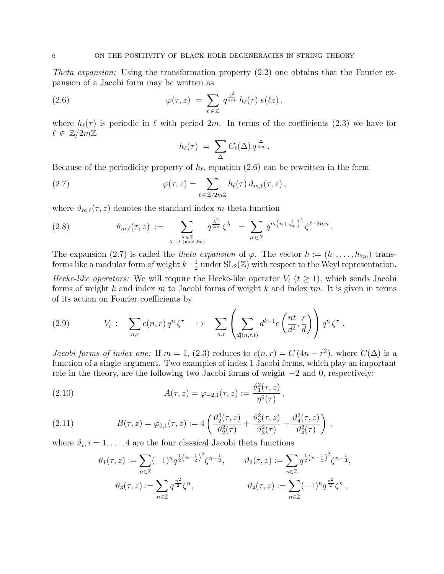Theta expansion: Using the transformation property  $(2.2)$  one obtains that the Fourier expansion of a Jacobi form may be written as

(2.6) 
$$
\varphi(\tau,z) = \sum_{\ell \in \mathbb{Z}} q^{\frac{\ell^2}{4m}} h_{\ell}(\tau) e(\ell z),
$$

where  $h_{\ell}(\tau)$  is periodic in  $\ell$  with period 2m. In terms of the coefficients (2.3) we have for  $\ell \in \mathbb{Z}/2m\mathbb{Z}$ 

$$
h_{\ell}(\tau) = \sum_{\Delta} C_{\ell}(\Delta) q^{\frac{\Delta}{4m}}.
$$

Because of the periodicity property of  $h_{\ell}$ , equation (2.6) can be rewritten in the form

(2.7) 
$$
\varphi(\tau,z) = \sum_{\ell \in \mathbb{Z}/2m\mathbb{Z}} h_{\ell}(\tau) \,\vartheta_{m,\ell}(\tau,z) \,,
$$

where  $\vartheta_{m,\ell}(\tau,z)$  denotes the standard index m theta function

(2.8) 
$$
\vartheta_{m,\ell}(\tau,z) := \sum_{\substack{\lambda \in \mathbb{Z} \\ \lambda \equiv \ell \pmod{2m}}} q^{\frac{\lambda^2}{4m}} \zeta^{\lambda} = \sum_{n \in \mathbb{Z}} q^{m(n+\frac{\ell}{2m})^2} \zeta^{\ell+2mn}.
$$

The expansion (2.7) is called the theta expansion of  $\varphi$ . The vector  $h := (h_1, \ldots, h_{2m})$  transforms like a modular form of weight  $k-\frac{1}{2}$  $\frac{1}{2}$  under  $SL_2(\mathbb{Z})$  with respect to the Weyl representation.

Hecke-like operators: We will require the Hecke-like operator  $V_t$  ( $t \geq 1$ ), which sends Jacobi forms of weight k and index m to Jacobi forms of weight k and index  $tm$ . It is given in terms of its action on Fourier coefficients by

(2.9) 
$$
V_t: \sum_{n,r} c(n,r) q^n \zeta^r \quad \mapsto \quad \sum_{n,r} \left( \sum_{d|(n,r,t)} d^{k-1} c\left(\frac{nt}{d^2}, \frac{r}{d}\right) \right) q^n \zeta^r.
$$

*Jacobi forms of index one:* If  $m = 1$ , (2.3) reduces to  $c(n,r) = C(4n - r^2)$ , where  $C(\Delta)$  is a function of a single argument. Two examples of index 1 Jacobi forms, which play an important role in the theory, are the following two Jacobi forms of weight −2 and 0, respectively:

,

(2.10) 
$$
A(\tau, z) = \varphi_{-2,1}(\tau, z) := \frac{\vartheta_1^2(\tau, z)}{\eta^6(\tau)}
$$

(2.11) 
$$
B(\tau, z) = \varphi_{0,1}(\tau, z) := 4 \left( \frac{\vartheta_2^2(\tau, z)}{\vartheta_2^2(\tau)} + \frac{\vartheta_3^2(\tau, z)}{\vartheta_3^2(\tau)} + \frac{\vartheta_4^2(\tau, z)}{\vartheta_4^2(\tau)} \right),
$$

where  $\vartheta_i, i = 1, \ldots, 4$  are the four classical Jacobi theta functions

$$
\vartheta_1(\tau, z) := \sum_{n \in \mathbb{Z}} (-1)^n q^{\frac{1}{2}(n - \frac{1}{2})^2} \zeta^{n - \frac{1}{2}}, \qquad \vartheta_2(\tau, z) := \sum_{n \in \mathbb{Z}} q^{\frac{1}{2}(n - \frac{1}{2})^2} \zeta^{n - \frac{1}{2}},
$$

$$
\vartheta_3(\tau, z) := \sum_{n \in \mathbb{Z}} q^{\frac{n^2}{2}} \zeta^n, \qquad \qquad \vartheta_4(\tau, z) := \sum_{n \in \mathbb{Z}} (-1)^n q^{\frac{n^2}{2}} \zeta^n,
$$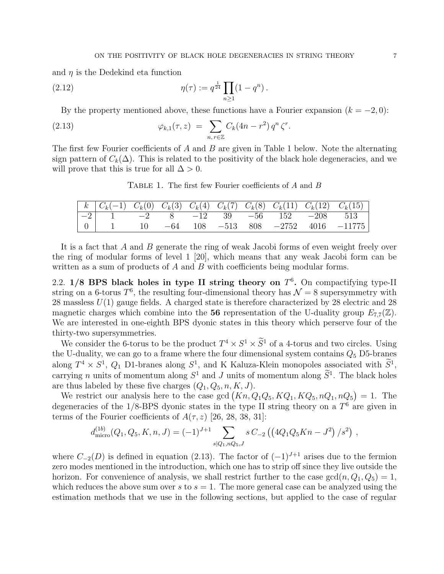and  $\eta$  is the Dedekind eta function

(2.12) 
$$
\eta(\tau) := q^{\frac{1}{24}} \prod_{n \ge 1} (1 - q^n).
$$

By the property mentioned above, these functions have a Fourier expansion  $(k = -2, 0)$ :

(2.13) 
$$
\varphi_{k,1}(\tau,z) = \sum_{n,r \in \mathbb{Z}} C_k (4n - r^2) q^n \zeta^r.
$$

The first few Fourier coefficients of  $A$  and  $B$  are given in Table 1 below. Note the alternating sign pattern of  $C_k(\Delta)$ . This is related to the positivity of the black hole degeneracies, and we will prove that this is true for all  $\Delta > 0$ .

TABLE 1. The first few Fourier coefficients of A and B

| $k \mid k \mid C_k(-1)$ $C_k(0)$ $C_k(3)$ $C_k(4)$ $C_k(7)$ $C_k(8)$ $C_k(11)$ $C_k(12)$ $C_k(15)$ |  |  |  |  |
|----------------------------------------------------------------------------------------------------|--|--|--|--|
|                                                                                                    |  |  |  |  |
|                                                                                                    |  |  |  |  |

It is a fact that A and B generate the ring of weak Jacobi forms of even weight freely over the ring of modular forms of level 1 [20], which means that any weak Jacobi form can be written as a sum of products of A and B with coefficients being modular forms.

2.2.  $1/8$  BPS black holes in type II string theory on  $T<sup>6</sup>$ . On compactifying type-II string on a 6-torus  $T^6$ , the resulting four-dimensional theory has  $\mathcal{N}=8$  supersymmetry with 28 massless  $U(1)$  gauge fields. A charged state is therefore characterized by 28 electric and 28 magnetic charges which combine into the 56 representation of the U-duality group  $E_{7.7}(\mathbb{Z})$ . We are interested in one-eighth BPS dyonic states in this theory which perserve four of the thirty-two supersymmetries.

We consider the 6-torus to be the product  $T^4 \times S^1 \times \tilde{S}^1$  of a 4-torus and two circles. Using the U-duality, we can go to a frame where the four dimensional system contains  $Q_5$  D5-branes along  $T^4 \times S^1$ ,  $Q_1$  D1-branes along  $S^1$ , and K Kaluza-Klein monopoles associated with  $S^1$ , carrying *n* units of momentum along  $S^1$  and *J* units of momentum along  $S^1$ . The black holes are thus labeled by these five charges  $(Q_1, Q_5, n, K, J)$ .

We restrict our analysis here to the case gcd  $(Kn, Q_1Q_5, KQ_1, KQ_5, nQ_1, nQ_5) = 1$ . The degeneracies of the  $1/8$ -BPS dyonic states in the type II string theory on a  $T<sup>6</sup>$  are given in terms of the Fourier coefficients of  $A(\tau, z)$  [26, 28, 38, 31]:

$$
d_{\text{micro}}^{(1b)}(Q_1, Q_5, K, n, J) = (-1)^{J+1} \sum_{s|Q_1, nQ_5, J} s C_{-2} ((4Q_1 Q_5 K n - J^2) / s^2) ,
$$

where  $C_{-2}(D)$  is defined in equation (2.13). The factor of  $(-1)^{J+1}$  arises due to the fermion zero modes mentioned in the introduction, which one has to strip off since they live outside the horizon. For convenience of analysis, we shall restrict further to the case  $gcd(n, Q_1, Q_5) = 1$ , which reduces the above sum over s to  $s = 1$ . The more general case can be analyzed using the estimation methods that we use in the following sections, but applied to the case of regular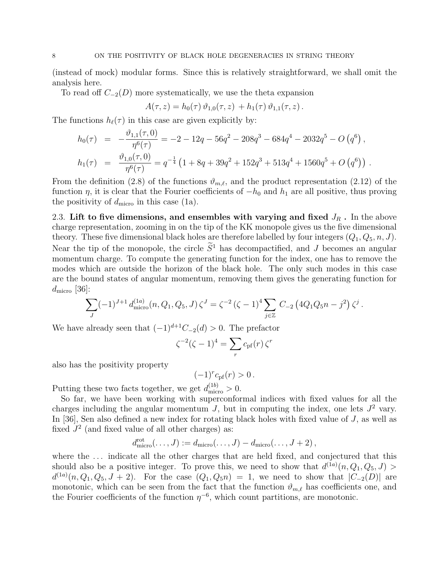(instead of mock) modular forms. Since this is relatively straightforward, we shall omit the analysis here.

To read off  $C_{-2}(D)$  more systematically, we use the theta expansion

$$
A(\tau, z) = h_0(\tau) \, \vartheta_{1,0}(\tau, z) + h_1(\tau) \, \vartheta_{1,1}(\tau, z) \, .
$$

The functions  $h_{\ell}(\tau)$  in this case are given explicitly by:

$$
h_0(\tau) = -\frac{\vartheta_{1,1}(\tau,0)}{\eta^6(\tau)} = -2 - 12q - 56q^2 - 208q^3 - 684q^4 - 2032q^5 - O(q^6),
$$
  
\n
$$
h_1(\tau) = \frac{\vartheta_{1,0}(\tau,0)}{\eta^6(\tau)} = q^{-\frac{1}{4}} \left(1 + 8q + 39q^2 + 152q^3 + 513q^4 + 1560q^5 + O(q^6)\right).
$$

From the definition (2.8) of the functions  $\vartheta_{m,\ell}$ , and the product representation (2.12) of the function  $\eta$ , it is clear that the Fourier coefficients of  $-h_0$  and  $h_1$  are all positive, thus proving the positivity of  $d<sub>micro</sub>$  in this case (1a).

2.3. Lift to five dimensions, and ensembles with varying and fixed  $J_R$ . In the above charge representation, zooming in on the tip of the KK monopole gives us the five dimensional theory. These five dimensional black holes are therefore labelled by four integers  $(Q_1, Q_5, n, J)$ . Near the tip of the monopole, the circle  $\tilde{S}^1$  has decompactified, and J becomes an angular momentum charge. To compute the generating function for the index, one has to remove the modes which are outside the horizon of the black hole. The only such modes in this case are the bound states of angular momentum, removing them gives the generating function for  $d_{\text{micro}}$  [36]:

$$
\sum_{J} (-1)^{J+1} d_{\text{micro}}^{(1a)}(n, Q_1, Q_5, J) \zeta^{J} = \zeta^{-2} (\zeta - 1)^4 \sum_{j \in \mathbb{Z}} C_{-2} (4Q_1 Q_5 n - j^2) \zeta^{j}.
$$

We have already seen that  $(-1)^{d+1}C_{-2}(d) > 0$ . The prefactor

$$
\zeta^{-2}(\zeta - 1)^4 = \sum_r c_{\text{pf}}(r) \zeta^r
$$

also has the positivity property

 $(-1)^r c_{\text{pf}}(r) > 0$ .

Putting these two facts together, we get  $d_{\text{micro}}^{(1b)} > 0$ .

So far, we have been working with superconformal indices with fixed values for all the charges including the angular momentum  $J$ , but in computing the index, one lets  $J^2$  vary. In [36], Sen also defined a new index for rotating black holes with fixed value of J, as well as fixed  $J^2$  (and fixed value of all other charges) as:

$$
d_{\text{micro}}^{\text{rot}}(\ldots, J) := d_{\text{micro}}(\ldots, J) - d_{\text{micro}}(\ldots, J+2),
$$

where the ... indicate all the other charges that are held fixed, and conjectured that this should also be a positive integer. To prove this, we need to show that  $d^{(1a)}(n, Q_1, Q_5, J)$  $d^{(1a)}(n, Q_1, Q_5, J + 2)$ . For the case  $(Q_1, Q_5 n) = 1$ , we need to show that  $|C_{-2}(D)|$  are monotonic, which can be seen from the fact that the function  $\vartheta_{m,\ell}$  has coefficients one, and the Fourier coefficients of the function  $\eta^{-6}$ , which count partitions, are monotonic.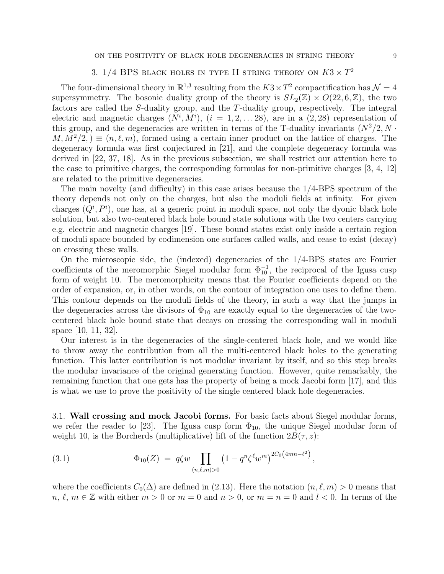# 3. 1/4 BPS black holes in type II string theory on  $K3 \times T^2$

The four-dimensional theory in  $\mathbb{R}^{1,3}$  resulting from the  $K3 \times T^2$  compactification has  $\mathcal{N} = 4$ supersymmetry. The bosonic duality group of the theory is  $SL_2(\mathbb{Z}) \times O(22, 6, \mathbb{Z})$ , the two factors are called the S-duality group, and the T-duality group, respectively. The integral electric and magnetic charges  $(N^i, M^i)$ ,  $(i = 1, 2, \ldots 28)$ , are in a  $(2, 28)$  representation of this group, and the degeneracies are written in terms of the T-duality invariants  $(N^2/2, N \cdot$  $M, M^2/2$ ,  $\equiv (n, \ell, m)$ , formed using a certain inner product on the lattice of charges. The degeneracy formula was first conjectured in [21], and the complete degeneracy formula was derived in [22, 37, 18]. As in the previous subsection, we shall restrict our attention here to the case to primitive charges, the corresponding formulas for non-primitive charges [3, 4, 12] are related to the primitive degeneracies.

The main novelty (and difficulty) in this case arises because the 1/4-BPS spectrum of the theory depends not only on the charges, but also the moduli fields at infinity. For given charges  $(Q^i, P^i)$ , one has, at a generic point in moduli space, not only the dyonic black hole solution, but also two-centered black hole bound state solutions with the two centers carrying e.g. electric and magnetic charges [19]. These bound states exist only inside a certain region of moduli space bounded by codimension one surfaces called walls, and cease to exist (decay) on crossing these walls.

On the microscopic side, the (indexed) degeneracies of the 1/4-BPS states are Fourier coefficients of the meromorphic Siegel modular form  $\Phi_{10}^{-1}$ , the reciprocal of the Igusa cusp form of weight 10. The meromorphicity means that the Fourier coefficients depend on the order of expansion, or, in other words, on the contour of integration one uses to define them. This contour depends on the moduli fields of the theory, in such a way that the jumps in the degeneracies across the divisors of  $\Phi_{10}$  are exactly equal to the degeneracies of the twocentered black hole bound state that decays on crossing the corresponding wall in moduli space [10, 11, 32].

Our interest is in the degeneracies of the single-centered black hole, and we would like to throw away the contribution from all the multi-centered black holes to the generating function. This latter contribution is not modular invariant by itself, and so this step breaks the modular invariance of the original generating function. However, quite remarkably, the remaining function that one gets has the property of being a mock Jacobi form [17], and this is what we use to prove the positivity of the single centered black hole degeneracies.

3.1. Wall crossing and mock Jacobi forms. For basic facts about Siegel modular forms, we refer the reader to [23]. The Igusa cusp form  $\Phi_{10}$ , the unique Siegel modular form of weight 10, is the Borcherds (multiplicative) lift of the function  $2B(\tau, z)$ :

(3.1) 
$$
\Phi_{10}(Z) = q\zeta w \prod_{(n,\ell,m)>0} \left(1 - q^n \zeta^{\ell} w^m\right)^{2C_0\left(4mn - \ell^2\right)},
$$

where the coefficients  $C_0(\Delta)$  are defined in (2.13). Here the notation  $(n, \ell, m) > 0$  means that  $n, \ell, m \in \mathbb{Z}$  with either  $m > 0$  or  $m = 0$  and  $n > 0$ , or  $m = n = 0$  and  $l < 0$ . In terms of the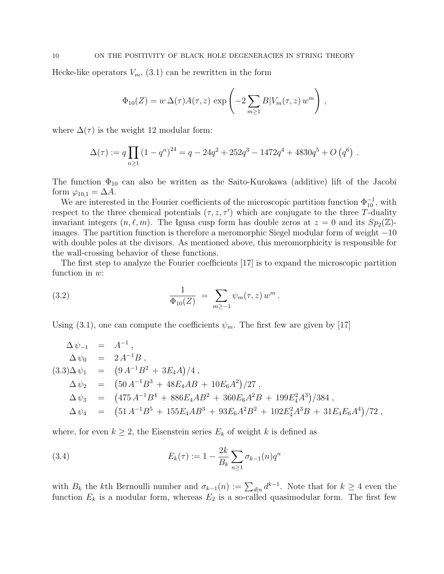Hecke-like operators  $V_m$ , (3.1) can be rewritten in the form

$$
\Phi_{10}(Z) = w \,\Delta(\tau) A(\tau, z) \, \exp\left(-2 \sum_{m \ge 1} B |V_m(\tau, z) w^m\right) \,,
$$

where  $\Delta(\tau)$  is the weight 12 modular form:

$$
\Delta(\tau) := q \prod_{n \ge 1} (1 - q^n)^{24} = q - 24q^2 + 252q^3 - 1472q^4 + 4830q^5 + O(q^6) .
$$

The function  $\Phi_{10}$  can also be written as the Saito-Kurokawa (additive) lift of the Jacobi form  $\varphi_{10,1} = \Delta A$ .

We are interested in the Fourier coefficients of the microscopic partition function  $\Phi_{10}^{-1}$ , with respect to the three chemical potentials  $(\tau, z, \tau')$  which are conjugate to the three T-duality invariant integers  $(n, \ell, m)$ . The Igusa cusp form has double zeros at  $z = 0$  and its  $Sp_2(\mathbb{Z})$ images. The partition function is therefore a meromorphic Siegel modular form of weight −10 with double poles at the divisors. As mentioned above, this meromorphicity is responsible for the wall-crossing behavior of these functions.

The first step to analyze the Fourier coefficients [17] is to expand the microscopic partition function in  $w$ :

(3.2) 
$$
\frac{1}{\Phi_{10}(Z)} = \sum_{m \ge -1} \psi_m(\tau, z) w^m.
$$

Using (3.1), one can compute the coefficients  $\psi_m$ . The first few are given by [17]

$$
\Delta \psi_{-1} = A^{-1},
$$
  
\n
$$
\Delta \psi_0 = 2 A^{-1} B,
$$
  
\n
$$
(3.3) \Delta \psi_1 = (9 A^{-1} B^2 + 3E_4 A)/4,
$$
  
\n
$$
\Delta \psi_2 = (50 A^{-1} B^3 + 48E_4 AB + 10E_6 A^2)/27,
$$
  
\n
$$
\Delta \psi_3 = (475 A^{-1} B^4 + 886E_4 AB^2 + 360E_6 A^2 B + 199E_4^2 A^3)/384,
$$
  
\n
$$
\Delta \psi_4 = (51 A^{-1} B^5 + 155E_4 AB^3 + 93E_6 A^2 B^2 + 102E_4^2 A^3 B + 31E_4 E_6 A^4)/72,
$$

where, for even  $k \geq 2$ , the Eisenstein series  $E_k$  of weight k is defined as

(3.4) 
$$
E_k(\tau) := 1 - \frac{2k}{B_k} \sum_{n \ge 1} \sigma_{k-1}(n) q^n
$$

with  $B_k$  the kth Bernoulli number and  $\sigma_{k-1}(n) := \sum_{d|n} d^{k-1}$ . Note that for  $k \geq 4$  even the function  $E_k$  is a modular form, whereas  $E_2$  is a so-called quasimodular form. The first few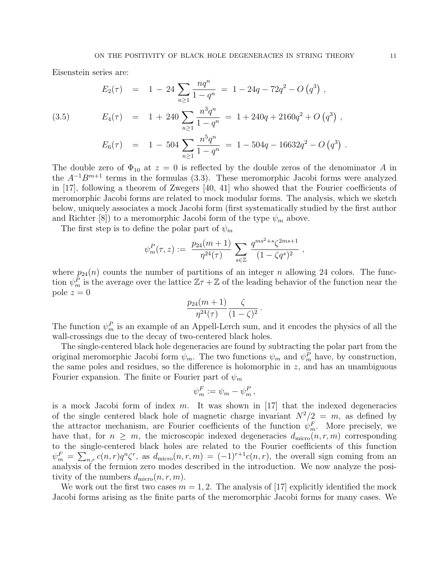Eisenstein series are:

(3.5) 
$$
E_2(\tau) = 1 - 24 \sum_{n \ge 1} \frac{nq^n}{1 - q^n} = 1 - 24q - 72q^2 - O(q^3),
$$

$$
E_4(\tau) = 1 + 240 \sum_{n \ge 1} \frac{n^3 q^n}{1 - q^n} = 1 + 240q + 2160q^2 + O(q^3),
$$

$$
E_6(\tau) = 1 - 504 \sum_{n \ge 1} \frac{n^5 q^n}{1 - q^n} = 1 - 504q - 16632q^2 - O(q^3).
$$

The double zero of  $\Phi_{10}$  at  $z = 0$  is reflected by the double zeros of the denominator A in the  $A^{-1}B^{m+1}$  terms in the formulas (3.3). These meromorphic Jacobi forms were analyzed in [17], following a theorem of Zwegers [40, 41] who showed that the Fourier coefficients of meromorphic Jacobi forms are related to mock modular forms. The analysis, which we sketch below, uniquely associates a mock Jacobi form (first systematically studied by the first author and Richter [8]) to a meromorphic Jacobi form of the type  $\psi_m$  above.

The first step is to define the polar part of  $\psi_m$ 

$$
\psi_m^P(\tau, z) := \frac{p_{24}(m+1)}{\eta^{24}(\tau)} \sum_{s \in \mathbb{Z}} \frac{q^{ms^2+s} \zeta^{2ms+1}}{(1-\zeta q^s)^2} ,
$$

where  $p_{24}(n)$  counts the number of partitions of an integer n allowing 24 colors. The function  $\psi_m^{\tilde{P}}$  is the average over the lattice  $\mathbb{Z} \tau + \mathbb{Z}$  of the leading behavior of the function near the pole  $z = 0$ 

$$
\frac{p_{24}(m+1)}{\eta^{24}(\tau)} \frac{\zeta}{(1-\zeta)^2}.
$$

The function  $\psi_m^P$  is an example of an Appell-Lerch sum, and it encodes the physics of all the wall-crossings due to the decay of two-centered black holes.

The single-centered black hole degeneracies are found by subtracting the polar part from the original meromorphic Jacobi form  $\psi_m$ . The two functions  $\psi_m$  and  $\psi_m^P$  have, by construction, the same poles and residues, so the difference is holomorphic in  $z$ , and has an unambiguous Fourier expansion. The finite or Fourier part of  $\psi_m$ 

$$
\psi_m^F := \psi_m - \psi_m^P,
$$

is a mock Jacobi form of index  $m$ . It was shown in [17] that the indexed degeneracies of the single centered black hole of magnetic charge invariant  $N^2/2 = m$ , as defined by the attractor mechanism, are Fourier coefficients of the function  $\psi_m^F$ . More precisely, we have that, for  $n \geq m$ , the microscopic indexed degeneracies  $d_{\text{micro}}(n, r, m)$  corresponding to the single-centered black holes are related to the Fourier coefficients of this function  $\psi_m^F = \sum_{n,r} c(n,r) q^n \zeta^r$ , as  $d_{\text{micro}}(n,r,m) = (-1)^{r+1} c(n,r)$ , the overall sign coming from an analysis of the fermion zero modes described in the introduction. We now analyze the positivity of the numbers  $d_{\text{micro}}(n, r, m)$ .

We work out the first two cases  $m = 1, 2$ . The analysis of [17] explicitly identified the mock Jacobi forms arising as the finite parts of the meromorphic Jacobi forms for many cases. We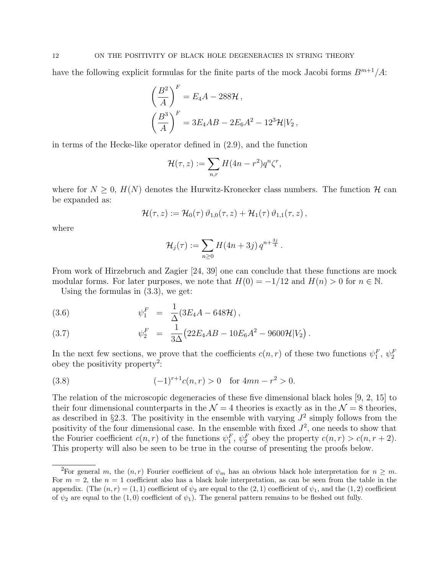have the following explicit formulas for the finite parts of the mock Jacobi forms  $B^{m+1}/A$ :

$$
\left(\frac{B^2}{A}\right)^F = E_4A - 288\mathcal{H},
$$
  

$$
\left(\frac{B^3}{A}\right)^F = 3E_4AB - 2E_6A^2 - 12^3\mathcal{H}|V_2,
$$

in terms of the Hecke-like operator defined in (2.9), and the function

$$
\mathcal{H}(\tau,z) := \sum_{n,r} H(4n - r^2) q^n \zeta^r,
$$

where for  $N \geq 0$ ,  $H(N)$  denotes the Hurwitz-Kronecker class numbers. The function  $\mathcal{H}$  can be expanded as:

$$
\mathcal{H}(\tau,z) := \mathcal{H}_0(\tau) \,\vartheta_{1,0}(\tau,z) + \mathcal{H}_1(\tau) \,\vartheta_{1,1}(\tau,z)\,,
$$

where

$$
\mathcal{H}_j(\tau) := \sum_{n \geq 0} H(4n + 3j) q^{n + \frac{3j}{4}}.
$$

From work of Hirzebruch and Zagier [24, 39] one can conclude that these functions are mock modular forms. For later purposes, we note that  $H(0) = -1/12$  and  $H(n) > 0$  for  $n \in \mathbb{N}$ .

Using the formulas in (3.3), we get:

(3.6) 
$$
\psi_1^F = \frac{1}{\Delta} (3E_4 A - 648 \mathcal{H}),
$$

(3.7) 
$$
\psi_2^F = \frac{1}{3\Delta} (22E_4 AB - 10E_6 A^2 - 9600 \mathcal{H}|V_2).
$$

In the next few sections, we prove that the coefficients  $c(n,r)$  of these two functions  $\psi_1^F$ ,  $\psi_2^F$ obey the positivity property<sup>2</sup>:

(3.8) 
$$
(-1)^{r+1}c(n,r) > 0 \text{ for } 4mn - r^2 > 0.
$$

The relation of the microscopic degeneracies of these five dimensional black holes [9, 2, 15] to their four dimensional counterparts in the  $\mathcal{N} = 4$  theories is exactly as in the  $\mathcal{N} = 8$  theories, as described in §2.3. The positivity in the ensemble with varying  $J^2$  simply follows from the positivity of the four dimensional case. In the ensemble with fixed  $J^2$ , one needs to show that the Fourier coefficient  $c(n,r)$  of the functions  $\psi_1^F$ ,  $\psi_2^F$  obey the property  $c(n,r) > c(n,r+2)$ . This property will also be seen to be true in the course of presenting the proofs below.

<sup>&</sup>lt;sup>2</sup>For general m, the  $(n, r)$  Fourier coefficient of  $\psi_m$  has an obvious black hole interpretation for  $n \geq m$ . For  $m = 2$ , the  $n = 1$  coefficient also has a black hole interpretation, as can be seen from the table in the appendix. (The  $(n, r) = (1, 1)$  coefficient of  $\psi_2$  are equal to the  $(2, 1)$  coefficient of  $\psi_1$ , and the  $(1, 2)$  coefficient of  $\psi_2$  are equal to the (1,0) coefficient of  $\psi_1$ ). The general pattern remains to be fleshed out fully.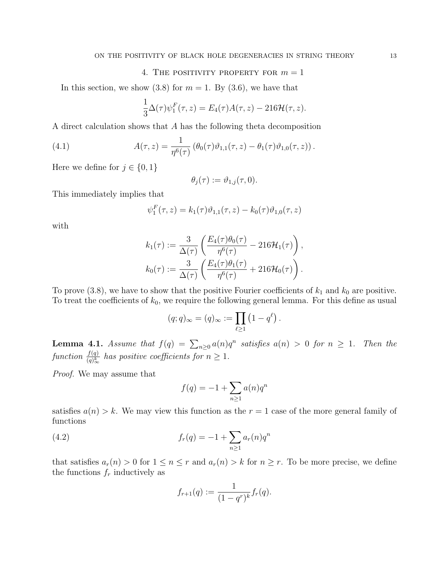## 4. THE POSITIVITY PROPERTY FOR  $m = 1$

In this section, we show  $(3.8)$  for  $m = 1$ . By  $(3.6)$ , we have that

$$
\frac{1}{3}\Delta(\tau)\psi_1^F(\tau,z) = E_4(\tau)A(\tau,z) - 216\mathcal{H}(\tau,z).
$$

A direct calculation shows that A has the following theta decomposition

(4.1) 
$$
A(\tau, z) = \frac{1}{\eta^6(\tau)} \left( \theta_0(\tau) \vartheta_{1,1}(\tau, z) - \theta_1(\tau) \vartheta_{1,0}(\tau, z) \right).
$$

Here we define for  $j \in \{0, 1\}$ 

$$
\theta_j(\tau) := \vartheta_{1,j}(\tau,0).
$$

This immediately implies that

$$
\psi_1^F(\tau, z) = k_1(\tau)\vartheta_{1,1}(\tau, z) - k_0(\tau)\vartheta_{1,0}(\tau, z)
$$

with

$$
k_1(\tau) := \frac{3}{\Delta(\tau)} \left( \frac{E_4(\tau)\theta_0(\tau)}{\eta^6(\tau)} - 216\mathcal{H}_1(\tau) \right),
$$
  

$$
k_0(\tau) := \frac{3}{\Delta(\tau)} \left( \frac{E_4(\tau)\theta_1(\tau)}{\eta^6(\tau)} + 216\mathcal{H}_0(\tau) \right).
$$

To prove (3.8), we have to show that the positive Fourier coefficients of  $k_1$  and  $k_0$  are positive. To treat the coefficients of  $k_0$ , we require the following general lemma. For this define as usual

$$
(q;q)_{\infty} = (q)_{\infty} := \prod_{\ell \geq 1} (1 - q^{\ell}).
$$

**Lemma 4.1.** Assume that  $f(q) = \sum_{n\geq 0} a(n)q^n$  satisfies  $a(n) > 0$  for  $n \geq 1$ . Then the function  $\frac{f(q)}{(q)^k_{\infty}}$  has positive coefficients for  $n \geq 1$ .

Proof. We may assume that

$$
f(q) = -1 + \sum_{n \ge 1} a(n)q^n
$$

satisfies  $a(n) > k$ . We may view this function as the  $r = 1$  case of the more general family of functions

(4.2) 
$$
f_r(q) = -1 + \sum_{n \ge 1} a_r(n) q^n
$$

that satisfies  $a_r(n) > 0$  for  $1 \leq n \leq r$  and  $a_r(n) > k$  for  $n \geq r$ . To be more precise, we define the functions  $f_r$  inductively as

$$
f_{r+1}(q) := \frac{1}{(1-q^r)^k} f_r(q).
$$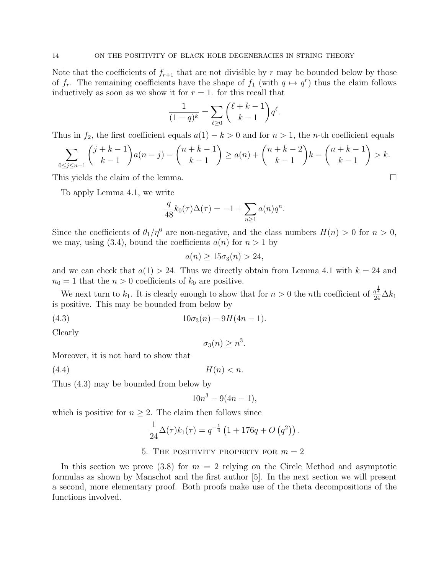Note that the coefficients of  $f_{r+1}$  that are not divisible by r may be bounded below by those of  $f_r$ . The remaining coefficients have the shape of  $f_1$  (with  $q \mapsto q^r$ ) thus the claim follows inductively as soon as we show it for  $r = 1$ . for this recall that

$$
\frac{1}{(1-q)^k} = \sum_{\ell \ge 0} {\ell + k - 1 \choose k - 1} q^{\ell}.
$$

Thus in  $f_2$ , the first coefficient equals  $a(1) - k > 0$  and for  $n > 1$ , the *n*-th coefficient equals

$$
\sum_{0 \le j \le n-1} {j+k-1 \choose k-1} a(n-j) - {n+k-1 \choose k-1} \ge a(n) + {n+k-2 \choose k-1} k - {n+k-1 \choose k-1} > k.
$$

This yields the claim of the lemma.

To apply Lemma 4.1, we write

$$
\frac{q}{48}k_0(\tau)\Delta(\tau) = -1 + \sum_{n\geq 1} a(n)q^n.
$$

Since the coefficients of  $\theta_1/\eta^6$  are non-negative, and the class numbers  $H(n) > 0$  for  $n > 0$ , we may, using (3.4), bound the coefficients  $a(n)$  for  $n > 1$  by

$$
a(n) \ge 15\sigma_3(n) > 24,
$$

and we can check that  $a(1) > 24$ . Thus we directly obtain from Lemma 4.1 with  $k = 24$  and  $n_0 = 1$  that the  $n > 0$  coefficients of  $k_0$  are positive.

We next turn to  $k_1$ . It is clearly enough to show that for  $n > 0$  the *n*th coefficient of  $\frac{q^{\frac{1}{4}}}{24}\Delta k_1$ is positive. This may be bounded from below by

(4.3)  $10\sigma_3(n) - 9H(4n - 1).$ 

Clearly

$$
\sigma_3(n) \ge n^3.
$$

Moreover, it is not hard to show that

(4.4)  $H(n) < n$ .

Thus (4.3) may be bounded from below by

$$
10n^3 - 9(4n - 1),
$$

which is positive for  $n \geq 2$ . The claim then follows since

$$
\frac{1}{24}\Delta(\tau)k_1(\tau) = q^{-\frac{1}{4}} (1 + 176q + O(q^2)).
$$

## 5. THE POSITIVITY PROPERTY FOR  $m = 2$

In this section we prove (3.8) for  $m = 2$  relying on the Circle Method and asymptotic formulas as shown by Manschot and the first author [5]. In the next section we will present a second, more elementary proof. Both proofs make use of the theta decompositions of the functions involved.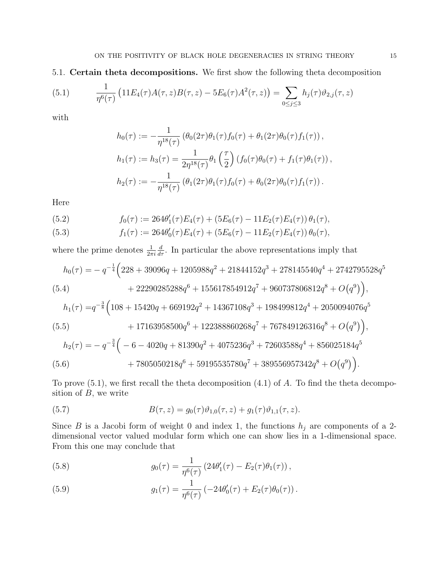5.1. Certain theta decompositions. We first show the following theta decomposition

(5.1) 
$$
\frac{1}{\eta^6(\tau)} \left(11E_4(\tau)A(\tau,z)B(\tau,z) - 5E_6(\tau)A^2(\tau,z)\right) = \sum_{0 \le j \le 3} h_j(\tau)\vartheta_{2,j}(\tau,z)
$$

with

$$
h_0(\tau) := -\frac{1}{\eta^{18}(\tau)} \left( \theta_0(2\tau) \theta_1(\tau) f_0(\tau) + \theta_1(2\tau) \theta_0(\tau) f_1(\tau) \right),
$$
  
\n
$$
h_1(\tau) := h_3(\tau) = \frac{1}{2\eta^{18}(\tau)} \theta_1 \left( \frac{\tau}{2} \right) \left( f_0(\tau) \theta_0(\tau) + f_1(\tau) \theta_1(\tau) \right),
$$
  
\n
$$
h_2(\tau) := -\frac{1}{\eta^{18}(\tau)} \left( \theta_1(2\tau) \theta_1(\tau) f_0(\tau) + \theta_0(2\tau) \theta_0(\tau) f_1(\tau) \right).
$$

Here

(5.2) 
$$
f_0(\tau) := 264\theta'_1(\tau)E_4(\tau) + (5E_6(\tau) - 11E_2(\tau)E_4(\tau))\theta_1(\tau),
$$

(5.3) 
$$
f_1(\tau) := 264\theta_0'(\tau)E_4(\tau) + (5E_6(\tau) - 11E_2(\tau)E_4(\tau))\theta_0(\tau),
$$

where the prime denotes  $\frac{1}{2\pi i}$  $\frac{d}{d\tau}$ . In particular the above representations imply that

$$
h_0(\tau) = -q^{-\frac{1}{4}} \Big( 228 + 39096q + 1205988q^2 + 21844152q^3 + 278145540q^4 + 2742795528q^5
$$
  
(5.4) 
$$
+ 22290285288q^6 + 155617854912q^7 + 960737806812q^8 + O(q^9) \Big),
$$

$$
h_1(\tau) = q^{-\frac{3}{8}} \Big( 108 + 15420q + 669192q^2 + 14367108q^3 + 198499812q^4 + 2050094076q^5
$$
  
+ 17163958500q^6 + 122388860268q^7 + 767849126316q^8 + O(q^9) \Big),

$$
(5.5)
$$
  
\n
$$
h_2(\tau) = -q^{-\frac{3}{4}} \left( -6 - 4020q + 81390q^2 + 4075236q^3 + 72603588q^4 + 856025184q^5 + 7805050218q^6 + 59195535780q^7 + 389556957342q^8 + O(q^9) \right).
$$

To prove  $(5.1)$ , we first recall the theta decomposition  $(4.1)$  of A. To find the theta decomposition of  $B$ , we write

(5.7) 
$$
B(\tau, z) = g_0(\tau)\vartheta_{1,0}(\tau, z) + g_1(\tau)\vartheta_{1,1}(\tau, z).
$$

Since B is a Jacobi form of weight 0 and index 1, the functions  $h_j$  are components of a 2dimensional vector valued modular form which one can show lies in a 1-dimensional space. From this one may conclude that

(5.8) 
$$
g_0(\tau) = \frac{1}{\eta^6(\tau)} \left( 24 \theta'_1(\tau) - E_2(\tau) \theta_1(\tau) \right),
$$

(5.9) 
$$
g_1(\tau) = \frac{1}{\eta^6(\tau)} \left( -24 \theta'_0(\tau) + E_2(\tau) \theta_0(\tau) \right).
$$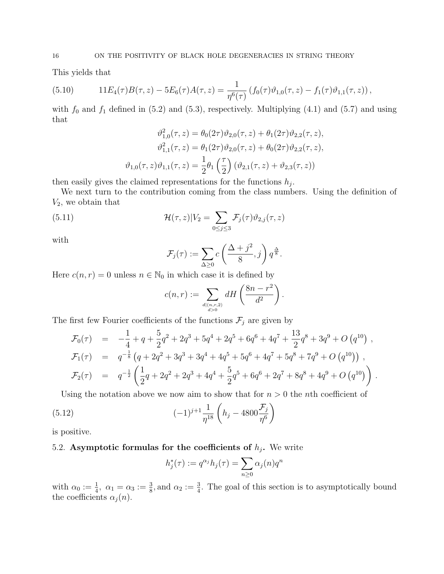This yields that

(5.10) 
$$
11E_4(\tau)B(\tau,z)-5E_6(\tau)A(\tau,z)=\frac{1}{\eta^6(\tau)}\left(f_0(\tau)\vartheta_{1,0}(\tau,z)-f_1(\tau)\vartheta_{1,1}(\tau,z)\right),
$$

with  $f_0$  and  $f_1$  defined in (5.2) and (5.3), respectively. Multiplying (4.1) and (5.7) and using that

$$
\vartheta_{1,0}^{2}(\tau,z) = \theta_{0}(2\tau)\vartheta_{2,0}(\tau,z) + \theta_{1}(2\tau)\vartheta_{2,2}(\tau,z),
$$

$$
\vartheta_{1,1}^{2}(\tau,z) = \theta_{1}(2\tau)\vartheta_{2,0}(\tau,z) + \theta_{0}(2\tau)\vartheta_{2,2}(\tau,z),
$$

$$
\vartheta_{1,0}(\tau,z)\vartheta_{1,1}(\tau,z) = \frac{1}{2}\theta_{1}\left(\frac{\tau}{2}\right)(\vartheta_{2,1}(\tau,z) + \vartheta_{2,3}(\tau,z))
$$

then easily gives the claimed representations for the functions  $h_j$ .

We next turn to the contribution coming from the class numbers. Using the definition of  $V_2$ , we obtain that

(5.11) 
$$
\mathcal{H}(\tau,z)|V_2 = \sum_{0 \le j \le 3} \mathcal{F}_j(\tau)\vartheta_{2,j}(\tau,z)
$$

with

$$
\mathcal{F}_j(\tau) := \sum_{\Delta \ge 0} c\left(\frac{\Delta + j^2}{8}, j\right) q^{\frac{\Delta}{8}}.
$$

Here  $c(n, r) = 0$  unless  $n \in \mathbb{N}_0$  in which case it is defined by

$$
c(n,r) := \sum_{\substack{d|(n,r,2) \\ d>0}} dH\left(\frac{8n-r^2}{d^2}\right).
$$

The first few Fourier coefficients of the functions  $\mathcal{F}_j$  are given by

$$
\mathcal{F}_0(\tau) = -\frac{1}{4} + q + \frac{5}{2}q^2 + 2q^3 + 5q^4 + 2q^5 + 6q^6 + 4q^7 + \frac{13}{2}q^8 + 3q^9 + O(q^{10}),
$$
  
\n
$$
\mathcal{F}_1(\tau) = q^{-\frac{1}{8}} (q + 2q^2 + 3q^3 + 3q^4 + 4q^5 + 5q^6 + 4q^7 + 5q^8 + 7q^9 + O(q^{10})),
$$
  
\n
$$
\mathcal{F}_2(\tau) = q^{-\frac{1}{2}} \left( \frac{1}{2}q + 2q^2 + 2q^3 + 4q^4 + \frac{5}{2}q^5 + 6q^6 + 2q^7 + 8q^8 + 4q^9 + O(q^{10}) \right).
$$

Using the notation above we now aim to show that for  $n > 0$  the *n*th coefficient of

(5.12) 
$$
(-1)^{j+1} \frac{1}{\eta^{18}} \left( h_j - 4800 \frac{\mathcal{F}_j}{\eta^6} \right)
$$

is positive.

## 5.2. Asymptotic formulas for the coefficients of  $h_j$ . We write

$$
h_j^*(\tau) := q^{\alpha_j} h_j(\tau) = \sum_{n \ge 0} \alpha_j(n) q^n
$$

with  $\alpha_0 := \frac{1}{4}$ ,  $\alpha_1 = \alpha_3 := \frac{3}{8}$ , and  $\alpha_2 := \frac{3}{4}$ . The goal of this section is to asymptotically bound the coefficients  $\alpha_j(n)$ .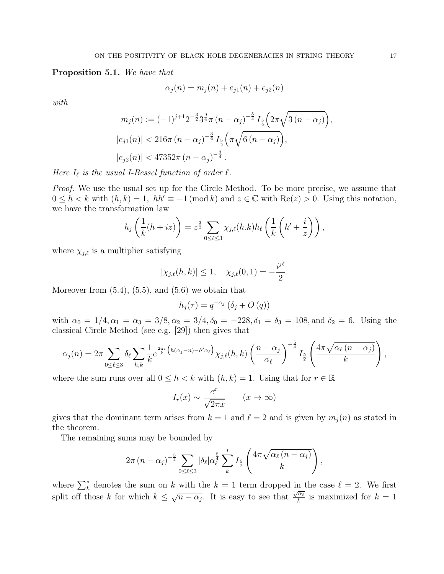#### Proposition 5.1. We have that

$$
\alpha_j(n) = m_j(n) + e_{j1}(n) + e_{j2}(n)
$$

with

$$
m_j(n) := (-1)^{j+1} 2^{-\frac{3}{2}} 3^{\frac{9}{4}} \pi (n - \alpha_j)^{-\frac{5}{4}} I_{\frac{5}{2}} \left( 2\pi \sqrt{3 (n - \alpha_j)} \right),
$$
  
\n
$$
|e_{j1}(n)| < 216\pi (n - \alpha_j)^{-\frac{3}{4}} I_{\frac{5}{2}} \left( \pi \sqrt{6 (n - \alpha_j)} \right),
$$
  
\n
$$
|e_{j2}(n)| < 47352\pi (n - \alpha_j)^{-\frac{3}{4}}.
$$

Here  $I_\ell$  is the usual I-Bessel function of order  $\ell$ .

Proof. We use the usual set up for the Circle Method. To be more precise, we assume that  $0 \leq h < k$  with  $(h, k) = 1$ ,  $hh' \equiv -1 \pmod{k}$  and  $z \in \mathbb{C}$  with  $\text{Re}(z) > 0$ . Using this notation, we have the transformation law

$$
h_j\left(\frac{1}{k}(h+iz)\right) = z^{\frac{3}{2}} \sum_{0 \leq \ell \leq 3} \chi_{j,\ell}(h.k) h_\ell\left(\frac{1}{k}\left(h' + \frac{i}{z}\right)\right),
$$

where  $\chi_{i,\ell}$  is a multiplier satisfying

$$
|\chi_{j,\ell}(h,k)| \le 1, \quad \chi_{j,\ell}(0,1) = -\frac{i^{j\ell}}{2}.
$$

Moreover from  $(5.4)$ ,  $(5.5)$ , and  $(5.6)$  we obtain that

$$
h_j(\tau) = q^{-\alpha_j} \left( \delta_j + O\left( q \right) \right)
$$

with  $\alpha_0 = 1/4, \alpha_1 = \alpha_3 = 3/8, \alpha_2 = 3/4, \delta_0 = -228, \delta_1 = \delta_3 = 108, \text{and } \delta_2 = 6$ . Using the classical Circle Method (see e.g. [29]) then gives that

$$
\alpha_j(n) = 2\pi \sum_{0 \leq \ell \leq 3} \delta_\ell \sum_{h,k} \frac{1}{k} e^{\frac{2\pi i}{k} \left( h(\alpha_j - n) - h'\alpha_\ell \right)} \chi_{j,\ell}(h,k) \left( \frac{n - \alpha_j}{\alpha_\ell} \right)^{-\frac{5}{4}} I_{\frac{5}{2}} \left( \frac{4\pi \sqrt{\alpha_\ell (n - \alpha_j)}}{k} \right),
$$

where the sum runs over all  $0 \leq h < k$  with  $(h, k) = 1$ . Using that for  $r \in \mathbb{R}$ 

$$
I_r(x) \sim \frac{e^x}{\sqrt{2\pi x}}
$$
  $(x \to \infty)$ 

gives that the dominant term arises from  $k = 1$  and  $\ell = 2$  and is given by  $m_i(n)$  as stated in the theorem.

The remaining sums may be bounded by

$$
2\pi (n - \alpha_j)^{-\frac{5}{4}} \sum_{0 \leq \ell \leq 3} |\delta_{\ell}| \alpha_{\ell}^{\frac{5}{4}} \sum_{k}^{*} I_{\frac{5}{2}} \left( \frac{4\pi \sqrt{\alpha_{\ell} (n - \alpha_j)}}{k} \right),
$$

where  $\sum_{k=1}^{\infty}$  denotes the sum on k with the  $k = 1$  term dropped in the case  $\ell = 2$ . We first split off those k for which  $k \leq \sqrt{n-\alpha_j}$ . It is easy to see that  $\frac{\sqrt{\alpha_\ell}}{k}$  $\frac{\alpha_{\ell}}{k}$  is maximized for  $k = 1$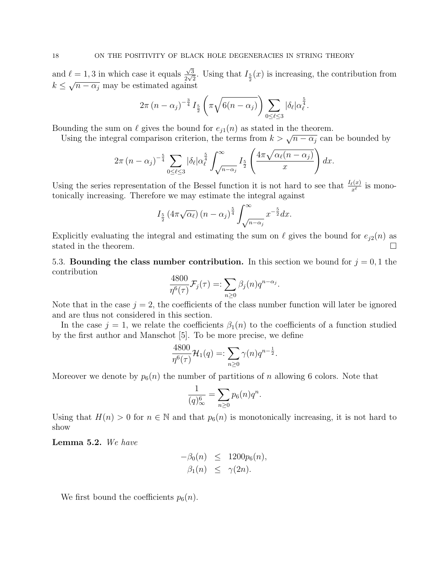and  $\ell = 1, 3$  in which case it equals  $\sqrt{3}$  $\frac{\sqrt{3}}{2\sqrt{2}}$ . Using that  $I_{\frac{5}{2}}(x)$  is increasing, the contribution from  $k \leq \sqrt{n-\alpha_j}$  may be estimated against

$$
2\pi (n-\alpha_j)^{-\frac{3}{4}} I_{\frac{5}{2}}\left(\pi \sqrt{6(n-\alpha_j)}\right) \sum_{0 \leq \ell \leq 3} |\delta_{\ell}| \alpha_{\ell}^{\frac{5}{4}}.
$$

Bounding the sum on  $\ell$  gives the bound for  $e_{j1}(n)$  as stated in the theorem.

Using the sum on  $\ell$  gives the bound for  $e_{j1}(n)$  as stated in the theorem.<br>Using the integral comparison criterion, the terms from  $k > \sqrt{n - \alpha_j}$  can be bounded by

$$
2\pi (n - \alpha_j)^{-\frac{5}{4}} \sum_{0 \leq \ell \leq 3} |\delta_{\ell}| \alpha_{\ell}^{\frac{5}{4}} \int_{\sqrt{n-\alpha_j}}^{\infty} I_{\frac{5}{2}} \left( \frac{4\pi \sqrt{\alpha_{\ell}(n-\alpha_j)}}{x} \right) dx.
$$

Using the series representation of the Bessel function it is not hard to see that  $\frac{I_{\ell}(x)}{x^{\ell}}$  is monotonically increasing. Therefore we may estimate the integral against

$$
I_{\frac{5}{2}}\left(4\pi\sqrt{\alpha_{\ell}}\right)\left(n-\alpha_{j}\right)^{\frac{5}{4}}\int_{\sqrt{n-\alpha_{j}}}^{\infty} x^{-\frac{5}{2}} dx.
$$

Explicitly evaluating the integral and estimating the sum on  $\ell$  gives the bound for  $e_{j2}(n)$  as stated in the theorem.  $\Box$ 

5.3. Bounding the class number contribution. In this section we bound for  $j = 0, 1$  the contribution

$$
\frac{4800}{\eta^6(\tau)}\mathcal{F}_j(\tau) =: \sum_{n\geq 0} \beta_j(n)q^{n-\alpha_j}
$$

.

Note that in the case  $j = 2$ , the coefficients of the class number function will later be ignored and are thus not considered in this section.

In the case  $j = 1$ , we relate the coefficients  $\beta_1(n)$  to the coefficients of a function studied by the first author and Manschot [5]. To be more precise, we define

$$
\frac{4800}{\eta^6(\tau)}\mathcal{H}_1(q) =: \sum_{n \ge 0} \gamma(n) q^{n - \frac{1}{2}}.
$$

Moreover we denote by  $p_6(n)$  the number of partitions of n allowing 6 colors. Note that

$$
\frac{1}{(q)_{\infty}^{6}} = \sum_{n \ge 0} p_6(n) q^n.
$$

Using that  $H(n) > 0$  for  $n \in \mathbb{N}$  and that  $p_6(n)$  is monotonically increasing, it is not hard to show

Lemma 5.2. We have

$$
-\beta_0(n) \leq 1200p_6(n),
$$
  

$$
\beta_1(n) \leq \gamma(2n).
$$

We first bound the coefficients  $p_6(n)$ .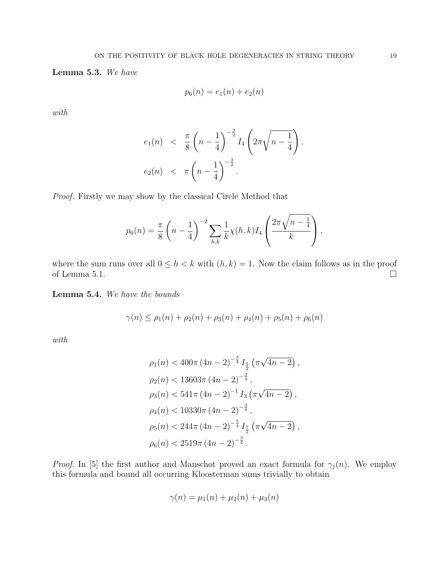Lemma 5.3. We have

$$
p_6(n) = e_1(n) + e_2(n)
$$

with

$$
e_1(n) < \frac{\pi}{8} \left( n - \frac{1}{4} \right)^{-\frac{3}{2}} I_4 \left( 2\pi \sqrt{n - \frac{1}{4}} \right),
$$
\n
$$
e_2(n) < \pi \left( n - \frac{1}{4} \right)^{-\frac{3}{2}}.
$$

Proof. Firstly we may show by the classical Circle Method that

$$
p_6(n) = \frac{\pi}{8} \left( n - \frac{1}{4} \right)^{-2} \sum_{h,k} \frac{1}{k} \chi(h,k) I_4 \left( \frac{2\pi \sqrt{n - \frac{1}{4}}}{k} \right),
$$

where the sum runs over all  $0 \leq h \leq k$  with  $(h, k) = 1$ . Now the claim follows as in the proof of Lemma 5.1.  $\Box$ 

Lemma 5.4. We have the bounds

$$
\gamma(n) \le \rho_1(n) + \rho_2(n) + \rho_3(n) + \rho_4(n) + \rho_5(n) + \rho_6(n)
$$

with

$$
\rho_1(n) < 400\pi \left(4n - 2\right)^{-\frac{3}{4}} I_{\frac{5}{2}} \left(\pi\sqrt{4n - 2}\right),
$$
\n
$$
\rho_2(n) < 13603\pi \left(4n - 2\right)^{-\frac{3}{4}},
$$
\n
$$
\rho_3(n) < 541\pi \left(4n - 2\right)^{-1} I_3 \left(\pi\sqrt{4n - 2}\right),
$$
\n
$$
\rho_4(n) < 10330\pi \left(4n - 2\right)^{-\frac{3}{4}},
$$
\n
$$
\rho_5(n) < 244\pi \left(4n - 2\right)^{-\frac{5}{4}} I_{\frac{7}{2}} \left(\pi\sqrt{4n - 2}\right),
$$
\n
$$
\rho_6(n) < 2519\pi \left(4n - 2\right)^{-\frac{3}{4}}.
$$

*Proof.* In [5] the first author and Manschot proved an exact formula for  $\gamma_j(n)$ . We employ this formula and bound all occurring Kloosterman sums trivially to obtain

$$
\gamma(n) = \mu_1(n) + \mu_2(n) + \mu_3(n)
$$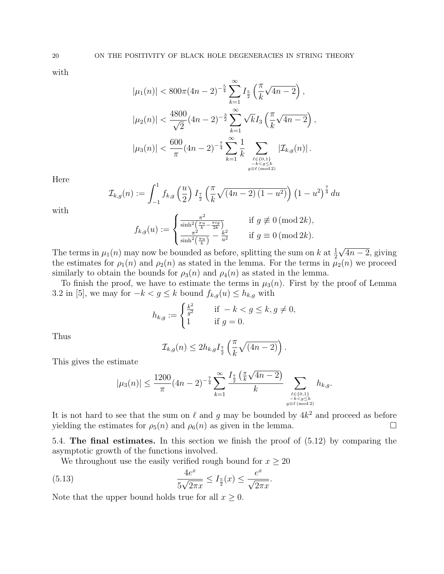with

$$
|\mu_1(n)| < 800\pi (4n - 2)^{-\frac{5}{4}} \sum_{k=1}^{\infty} I_{\frac{5}{2}}\left(\frac{\pi}{k}\sqrt{4n - 2}\right),
$$
  

$$
|\mu_2(n)| < \frac{4800}{\sqrt{2}} (4n - 2)^{-\frac{3}{2}} \sum_{k=1}^{\infty} \sqrt{k} I_3\left(\frac{\pi}{k}\sqrt{4n - 2}\right)
$$
  

$$
|\mu_3(n)| < \frac{600}{\pi} (4n - 2)^{-\frac{7}{4}} \sum_{\substack{k=1 \ k \text{ odd } 2}}^{\infty} \frac{1}{k} \sum_{\substack{\ell \in \{0,1\} \\ g \equiv \ell \, (\text{mod } 2)}} |\mathcal{I}_{k,g}(n)|.
$$

,

Here

$$
\mathcal{I}_{k,g}(n) := \int_{-1}^{1} f_{k,g}\left(\frac{u}{2}\right) I_{\frac{7}{2}}\left(\frac{\pi}{k} \sqrt{(4n-2)(1-u^2)}\right) \left(1-u^2\right)^{\frac{7}{4}} du
$$

with

$$
f_{k,g}(u) := \begin{cases} \frac{\pi^2}{\sinh^2(\frac{\pi u}{k} - \frac{\pi i g}{2k})} & \text{if } g \not\equiv 0 \, (\text{mod } 2k),\\ \frac{\pi^2}{\sinh^2(\frac{\pi u}{k})} - \frac{k^2}{u^2} & \text{if } g \equiv 0 \, (\text{mod } 2k). \end{cases}
$$

The terms in  $\mu_1(n)$  may now be bounded as before, splitting the sum on k at  $\frac{1}{2}$ √  $\sqrt{4n-2}$ , giving the estimates for  $\rho_1(n)$  and  $\rho_2(n)$  as stated in the lemma. For the terms in  $\mu_2(n)$  we proceed similarly to obtain the bounds for  $\rho_3(n)$  and  $\rho_4(n)$  as stated in the lemma.

To finish the proof, we have to estimate the terms in  $\mu_3(n)$ . First by the proof of Lemma 3.2 in [5], we may for  $-k < g \leq k$  bound  $f_{k,g}(u) \leq h_{k,g}$  with

$$
h_{k,g} := \begin{cases} \frac{k^2}{g^2} & \text{if } -k < g \le k, g \ne 0, \\ 1 & \text{if } g = 0. \end{cases}
$$

Thus

$$
\mathcal{I}_{k,g}(n) \leq 2h_{k,g}I_{\frac{7}{2}}\left(\frac{\pi}{k}\sqrt{(4n-2)}\right).
$$

This gives the estimate

$$
|\mu_3(n)| \le \frac{1200}{\pi} (4n-2)^{-\frac{7}{4}} \sum_{k=1}^{\infty} \frac{I_{\frac{7}{2}}\left(\frac{\pi}{k}\sqrt{4n-2}\right)}{k} \sum_{\substack{\ell \in \{0,1\} \\ -k < g \le k \\ g \equiv \ell \pmod{2}}} h_{k,g}.
$$

It is not hard to see that the sum on  $\ell$  and g may be bounded by  $4k^2$  and proceed as before yielding the estimates for  $\rho_5(n)$  and  $\rho_6(n)$  as given in the lemma.

5.4. The final estimates. In this section we finish the proof of (5.12) by comparing the asymptotic growth of the functions involved.

We throughout use the easily verified rough bound for  $x \geq 20$ 

(5.13) 
$$
\frac{4e^x}{5\sqrt{2\pi x}} \le I_{\frac{5}{2}}(x) \le \frac{e^x}{\sqrt{2\pi x}}.
$$

Note that the upper bound holds true for all  $x \geq 0$ .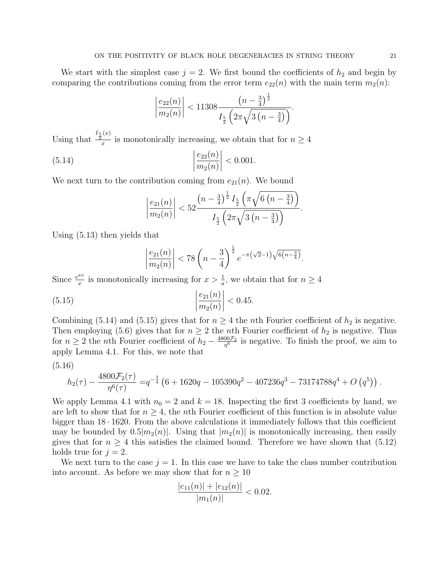We start with the simplest case  $j = 2$ . We first bound the coefficients of  $h_2$  and begin by comparing the contributions coming from the error term  $e_{22}(n)$  with the main term  $m_2(n)$ :

$$
\left|\frac{e_{22}(n)}{m_2(n)}\right| < 11308 \frac{\left(n - \frac{3}{4}\right)^{\frac{1}{2}}}{I_{\frac{5}{2}}\left(2\pi\sqrt{3\left(n - \frac{3}{4}\right)}\right)}.
$$

Using that  $\frac{I_5(x)}{x}$  $\frac{1}{x}$  is monotonically increasing, we obtain that for  $n \geq 4$ 

(5.14) 
$$
\left| \frac{e_{22}(n)}{m_2(n)} \right| < 0.001.
$$

We next turn to the contribution coming from  $e_{21}(n)$ . We bound

$$
\left|\frac{e_{21}(n)}{m_2(n)}\right| < 52 \frac{\left(n - \frac{3}{4}\right)^{\frac{1}{2}} I_{\frac{5}{2}}\left(\pi \sqrt{6\left(n - \frac{3}{4}\right)}\right)}{I_{\frac{5}{2}}\left(2\pi \sqrt{3\left(n - \frac{3}{4}\right)}\right)}.
$$

Using (5.13) then yields that

$$
\left|\frac{e_{21}(n)}{m_2(n)}\right| < 78\left(n - \frac{3}{4}\right)^{\frac{1}{2}} e^{-\pi\left(\sqrt{2} - 1\right)\sqrt{6\left(n - \frac{3}{4}\right)}}.
$$

Since  $\frac{e^{ax}}{x}$  $\frac{ax}{x}$  is monotonically increasing for  $x > \frac{1}{a}$ , we obtain that for  $n \ge 4$ 

(5.15) 
$$
\left| \frac{e_{21}(n)}{m_2(n)} \right| < 0.45.
$$

Combining (5.14) and (5.15) gives that for  $n \geq 4$  the *n*th Fourier coefficient of  $h_2$  is negative. Then employing (5.6) gives that for  $n \geq 2$  the *n*th Fourier coefficient of  $h_2$  is negative. Thus for  $n \geq 2$  the *n*th Fourier coefficient of  $h_2 - \frac{4800\mathcal{F}_2}{n^6}$  $\frac{1}{\sqrt{10}}$  is negative. To finish the proof, we aim to apply Lemma 4.1. For this, we note that

$$
(5.16)
$$

$$
h_2(\tau) - \frac{4800 \mathcal{F}_2(\tau)}{\eta^6(\tau)} = q^{-\frac{3}{4}} \left(6 + 1620q - 105390q^2 - 407236q^3 - 73174788q^4 + O\left(q^5\right)\right).
$$

We apply Lemma 4.1 with  $n_0 = 2$  and  $k = 18$ . Inspecting the first 3 coefficients by hand, we are left to show that for  $n \geq 4$ , the *n*th Fourier coefficient of this function is in absolute value bigger than  $18 \cdot 1620$ . From the above calculations it immediately follows that this coefficient may be bounded by  $0.5|m_2(n)|$ . Using that  $|m_2(n)|$  is monotonically increasing, then easily gives that for  $n \geq 4$  this satisfies the claimed bound. Therefore we have shown that (5.12) holds true for  $j = 2$ .

We next turn to the case  $j = 1$ . In this case we have to take the class number contribution into account. As before we may show that for  $n \geq 10$ 

$$
\frac{|e_{11}(n)| + |e_{12}(n)|}{|m_1(n)|} < 0.02.
$$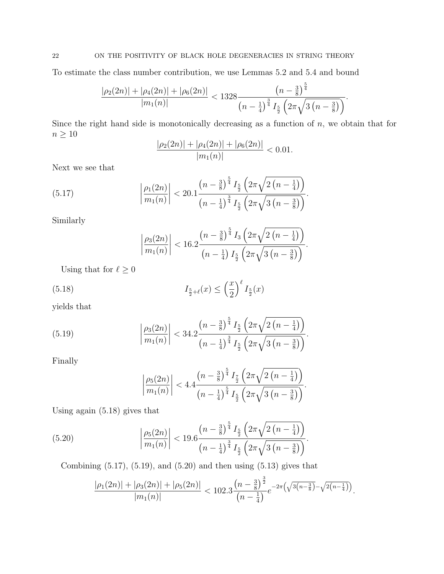To estimate the class number contribution, we use Lemmas 5.2 and 5.4 and bound

$$
\frac{|\rho_2(2n)| + |\rho_4(2n)| + |\rho_6(2n)|}{|m_1(n)|} < 1328 \frac{\left(n - \frac{3}{8}\right)^{\frac{5}{4}}}{\left(n - \frac{1}{4}\right)^{\frac{3}{4}} I_{\frac{5}{2}} \left(2\pi\sqrt{3\left(n - \frac{3}{8}\right)}\right)}
$$

.

Since the right hand side is monotonically decreasing as a function of  $n$ , we obtain that for  $n \geq 10$ 

$$
\frac{|\rho_2(2n)| + |\rho_4(2n)| + |\rho_6(2n)|}{|m_1(n)|} < 0.01.
$$

Next we see that

(5.17) 
$$
\left| \frac{\rho_1(2n)}{m_1(n)} \right| < 20.1 \frac{\left(n - \frac{3}{8}\right)^{\frac{5}{4}} I_{\frac{5}{2}} \left(2\pi \sqrt{2\left(n - \frac{1}{4}\right)}\right)}{\left(n - \frac{1}{4}\right)^{\frac{3}{4}} I_{\frac{5}{2}} \left(2\pi \sqrt{3\left(n - \frac{3}{8}\right)}\right)}.
$$

Similarly

$$
\left|\frac{\rho_3(2n)}{m_1(n)}\right| < 16.2 \frac{\left(n - \frac{3}{8}\right)^{\frac{5}{4}} I_3\left(2\pi\sqrt{2\left(n - \frac{1}{4}\right)}\right)}{\left(n - \frac{1}{4}\right) I_{\frac{5}{2}}\left(2\pi\sqrt{3\left(n - \frac{3}{8}\right)}\right)}.
$$

Using that for  $\ell \geq 0$ 

(5.18) 
$$
I_{\frac{5}{2}+\ell}(x) \leq \left(\frac{x}{2}\right)^{\ell} I_{\frac{5}{2}}(x)
$$

yields that

(5.19) 
$$
\left| \frac{\rho_3(2n)}{m_1(n)} \right| < 34.2 \frac{\left(n - \frac{3}{8}\right)^{\frac{5}{4}} I_{\frac{5}{2}} \left(2\pi \sqrt{2\left(n - \frac{1}{4}\right)}\right)}{\left(n - \frac{1}{4}\right)^{\frac{3}{4}} I_{\frac{5}{2}} \left(2\pi \sqrt{3\left(n - \frac{3}{8}\right)}\right)}.
$$

Finally

$$
\left|\frac{\rho_5(2n)}{m_1(n)}\right| < 4.4 \frac{\left(n - \frac{3}{8}\right)^{\frac{5}{4}} I_{\frac{7}{2}} \left(2\pi \sqrt{2\left(n - \frac{1}{4}\right)}\right)}{\left(n - \frac{1}{4}\right)^{\frac{5}{4}} I_{\frac{5}{2}} \left(2\pi \sqrt{3\left(n - \frac{3}{8}\right)}\right)}.
$$

Using again (5.18) gives that

(5.20) 
$$
\left| \frac{\rho_5(2n)}{m_1(n)} \right| < 19.6 \frac{\left(n - \frac{3}{8}\right)^{\frac{5}{4}} I_{\frac{5}{2}} \left(2\pi \sqrt{2\left(n - \frac{1}{4}\right)}\right)}{\left(n - \frac{1}{4}\right)^{\frac{3}{4}} I_{\frac{5}{2}} \left(2\pi \sqrt{3\left(n - \frac{3}{8}\right)}\right)}.
$$

Combining  $(5.17)$ ,  $(5.19)$ , and  $(5.20)$  and then using  $(5.13)$  gives that

$$
\frac{|\rho_1(2n)| + |\rho_3(2n)| + |\rho_5(2n)|}{|m_1(n)|} < 102.3 \frac{\left(n - \frac{3}{8}\right)^{\frac{3}{2}}}{\left(n - \frac{1}{4}\right)} e^{-2\pi \left(\sqrt{3\left(n - \frac{3}{8}\right)} - \sqrt{2\left(n - \frac{1}{4}\right)}\right)}.
$$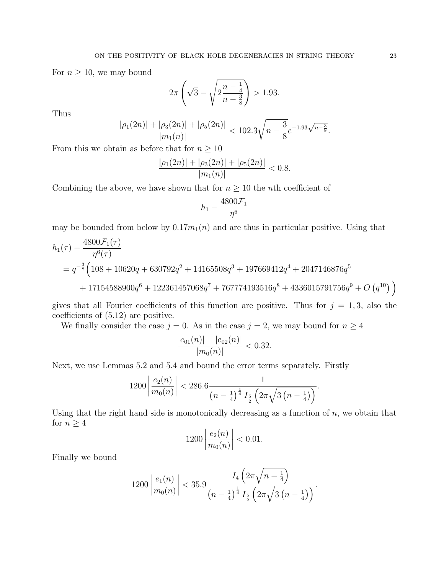For  $n \geq 10$ , we may bound

$$
2\pi \left(\sqrt{3} - \sqrt{2\frac{n-\frac{1}{4}}{n-\frac{3}{8}}}\right) > 1.93.
$$

Thus

$$
\frac{|\rho_1(2n)| + |\rho_3(2n)| + |\rho_5(2n)|}{|m_1(n)|} < 102.3\sqrt{n - \frac{3}{8}}e^{-1.93\sqrt{n - \frac{3}{8}}}.
$$

From this we obtain as before that for  $n \geq 10$ 

$$
\frac{|\rho_1(2n)| + |\rho_3(2n)| + |\rho_5(2n)|}{|m_1(n)|} < 0.8.
$$

Combining the above, we have shown that for  $n \geq 10$  the *n*th coefficient of

$$
h_1-\frac{4800\mathcal{F}_1}{\eta^6}
$$

may be bounded from below by  $0.17m_1(n)$  and are thus in particular positive. Using that

$$
h_1(\tau) - \frac{4800 \mathcal{F}_1(\tau)}{\eta^6(\tau)}
$$
  
=  $q^{-\frac{3}{8}} \Big( 108 + 10620q + 630792q^2 + 14165508q^3 + 197669412q^4 + 2047146876q^5$   
+ 17154588900q<sup>6</sup> + 122361457068q<sup>7</sup> + 767774193516q<sup>8</sup> + 4336015791756q<sup>9</sup> + O (q<sup>10</sup>) \Big)

gives that all Fourier coefficients of this function are positive. Thus for  $j = 1, 3$ , also the coefficients of (5.12) are positive.

We finally consider the case  $j = 0$ . As in the case  $j = 2$ , we may bound for  $n \geq 4$ 

$$
\frac{|e_{01}(n)| + |e_{02}(n)|}{|m_0(n)|} < 0.32.
$$

Next, we use Lemmas 5.2 and 5.4 and bound the error terms separately. Firstly

$$
1200\left|\frac{e_2(n)}{m_0(n)}\right| < 286.6\frac{1}{\left(n-\frac{1}{4}\right)^{\frac{1}{4}}I_{\frac{5}{2}}\left(2\pi\sqrt{3\left(n-\frac{1}{4}\right)}\right)}.
$$

Using that the right hand side is monotonically decreasing as a function of  $n$ , we obtain that for  $n \geq 4$ 

$$
1200\left|\frac{e_2(n)}{m_0(n)}\right| < 0.01.
$$

Finally we bound

$$
1200\left|\frac{e_1(n)}{m_0(n)}\right| < 35.9 \frac{I_4\left(2\pi\sqrt{n-\frac{1}{4}}\right)}{\left(n-\frac{1}{4}\right)^{\frac{1}{4}}I_{\frac{5}{2}}\left(2\pi\sqrt{3\left(n-\frac{1}{4}\right)}\right)}.
$$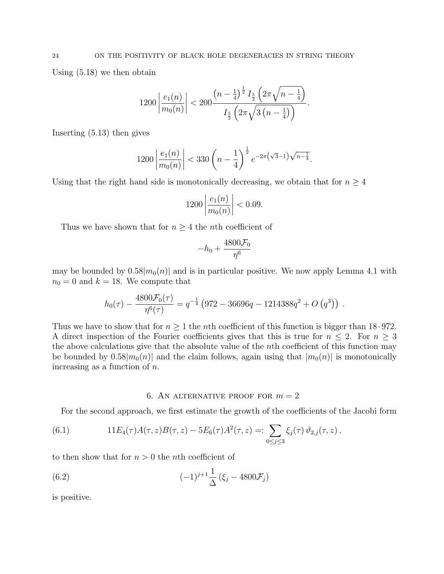Using (5.18) we then obtain

$$
1200\left|\frac{e_1(n)}{m_0(n)}\right| < 200\frac{\left(n-\frac{1}{4}\right)^{\frac{1}{2}}I_{\frac{5}{2}}\left(2\pi\sqrt{n-\frac{1}{4}}\right)}{I_{\frac{5}{2}}\left(2\pi\sqrt{3\left(n-\frac{1}{4}\right)}\right)}.
$$

Inserting (5.13) then gives

$$
1200\left|\frac{e_1(n)}{m_0(n)}\right| < 330\left(n - \frac{1}{4}\right)^{\frac{1}{2}} e^{-2\pi\left(\sqrt{3} - 1\right)\sqrt{n - \frac{1}{4}}}.
$$

Using that the right hand side is monotonically decreasing, we obtain that for  $n \geq 4$ 

$$
1200\left|\frac{e_1(n)}{m_0(n)}\right| < 0.09.
$$

Thus we have shown that for  $n \geq 4$  the *n*th coefficient of

$$
-h_0+\frac{4800\mathcal{F}_0}{\eta^6}
$$

may be bounded by  $0.58|m_0(n)|$  and is in particular positive. We now apply Lemma 4.1 with  $n_0 = 0$  and  $k = 18$ . We compute that

$$
h_0(\tau) - \frac{4800 \mathcal{F}_0(\tau)}{\eta^6(\tau)} = q^{-\frac{1}{4}} \left(972 - 36696q - 1214388q^2 + O\left(q^3\right)\right).
$$

Thus we have to show that for  $n \geq 1$  the *n*th coefficient of this function is bigger than 18.972. A direct inspection of the Fourier coefficients gives that this is true for  $n \leq 2$ . For  $n \geq 3$ the above calculations give that the absolute value of the nth coefficient of this function may be bounded by  $0.58|m_0(n)|$  and the claim follows, again using that  $|m_0(n)|$  is monotonically increasing as a function of  $n$ .

### 6. AN ALTERNATIVE PROOF FOR  $m = 2$

For the second approach, we first estimate the growth of the coefficients of the Jacobi form

(6.1) 
$$
11E_4(\tau)A(\tau,z)B(\tau,z)-5E_6(\tau)A^2(\tau,z)=:\sum_{0\leq j\leq 3}\xi_j(\tau)\,\vartheta_{2,j}(\tau,z),
$$

to then show that for  $n > 0$  the *n*th coefficient of

(6.2) 
$$
(-1)^{j+1} \frac{1}{\Delta} (\xi_j - 4800 \mathcal{F}_j)
$$

is positive.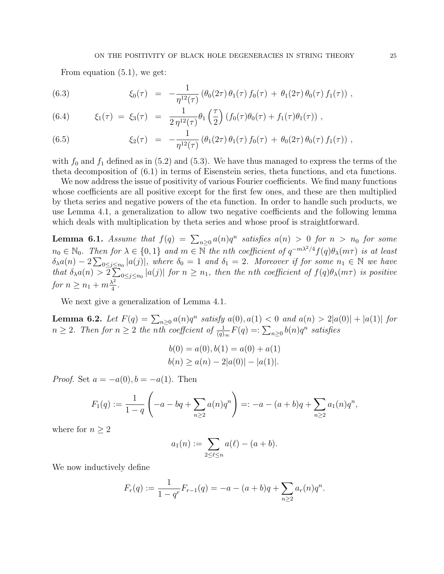From equation (5.1), we get:

(6.3) 
$$
\xi_0(\tau) = -\frac{1}{\eta^{12}(\tau)} \left( \theta_0(2\tau) \theta_1(\tau) f_0(\tau) + \theta_1(2\tau) \theta_0(\tau) f_1(\tau) \right),
$$

(6.4) 
$$
\xi_1(\tau) = \xi_3(\tau) = \frac{1}{2\eta^{12}(\tau)} \theta_1\left(\frac{\tau}{2}\right) \left(f_0(\tau)\theta_0(\tau) + f_1(\tau)\theta_1(\tau)\right),
$$

(6.5) 
$$
\xi_2(\tau) = -\frac{1}{\eta^{12}(\tau)} \left( \theta_1(2\tau) \theta_1(\tau) f_0(\tau) + \theta_0(2\tau) \theta_0(\tau) f_1(\tau) \right),
$$

with  $f_0$  and  $f_1$  defined as in (5.2) and (5.3). We have thus managed to express the terms of the theta decomposition of (6.1) in terms of Eisenstein series, theta functions, and eta functions.

We now address the issue of positivity of various Fourier coefficients. We find many functions whose coefficients are all positive except for the first few ones, and these are then multiplied by theta series and negative powers of the eta function. In order to handle such products, we use Lemma 4.1, a generalization to allow two negative coefficients and the following lemma which deals with multiplication by theta series and whose proof is straightforward.

**Lemma 6.1.** Assume that  $f(q) = \sum_{n\geq 0} a(n)q^n$  satisfies  $a(n) > 0$  for  $n > n_0$  for some  $n_0 \in \mathbb{N}_0$ . Then for  $\lambda \in \{0,1\}$  and  $m \in \mathbb{N}$  the nth coefficient of  $q^{-m\lambda^2/4} f(q) \theta_\lambda(m\tau)$  is at least  $\delta_{\lambda}a(n)-2\sum_{0\leq j\leq n_0}|a(j)|$ , where  $\delta_0=1$  and  $\delta_1=2$ . Moreover if for some  $n_1\in\mathbb{N}$  we have that  $\delta_{\lambda}a(n) > 2\sum_{0 \leq j \leq n_0} |a(j)|$  for  $n \geq n_1$ , then the nth coefficient of  $f(q)\theta_{\lambda}(m\tau)$  is positive for  $n \geq n_1 + m \frac{\lambda^2}{4}$  $\frac{\lambda^2}{4}$ .

We next give a generalization of Lemma 4.1.

**Lemma 6.2.** Let  $F(q) = \sum_{n\geq 0} a(n)q^n$  satisfy  $a(0), a(1) < 0$  and  $a(n) > 2|a(0)| + |a(1)|$  for  $n \geq 2$ . Then for  $n \geq 2$  the nth coefficient of  $\frac{1}{(q)_{\infty}}F(q) =: \sum_{n \geq 0} b(n)q^n$  satisfies

$$
b(0) = a(0), b(1) = a(0) + a(1)
$$
  

$$
b(n) \ge a(n) - 2|a(0)| - |a(1)|.
$$

*Proof.* Set  $a = -a(0), b = -a(1)$ . Then

$$
F_1(q) := \frac{1}{1-q} \left( -a - bq + \sum_{n\geq 2} a(n)q^n \right) =: -a - (a+b)q + \sum_{n\geq 2} a_1(n)q^n,
$$

where for  $n \geq 2$ 

$$
a_1(n) := \sum_{2 \leq \ell \leq n} a(\ell) - (a+b).
$$

We now inductively define

$$
F_r(q) := \frac{1}{1 - q^r} F_{r-1}(q) = -a - (a+b)q + \sum_{n \ge 2} a_r(n)q^n.
$$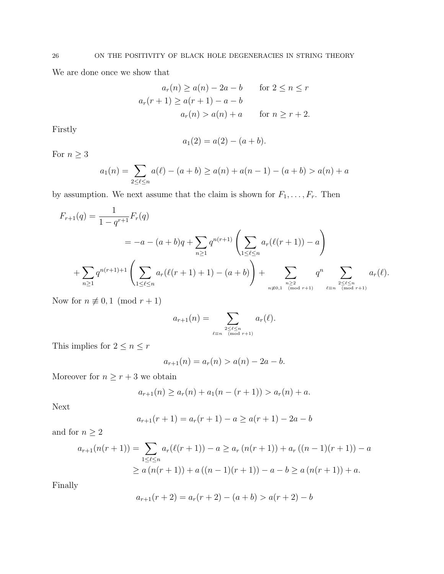We are done once we show that

$$
a_r(n) \ge a(n) - 2a - b \qquad \text{for } 2 \le n \le r
$$
  

$$
a_r(r+1) \ge a(r+1) - a - b
$$
  

$$
a_r(n) > a(n) + a \qquad \text{for } n \ge r+2.
$$

Firstly

$$
a_1(2) = a(2) - (a+b).
$$

For  $n\geq 3$ 

$$
a_1(n) = \sum_{2 \le \ell \le n} a(\ell) - (a+b) \ge a(n) + a(n-1) - (a+b) > a(n) + a
$$

by assumption. We next assume that the claim is shown for  $F_1, \ldots, F_r$ . Then

$$
F_{r+1}(q) = \frac{1}{1 - q^{r+1}} F_r(q)
$$
  
=  $-a - (a + b)q + \sum_{n \ge 1} q^{n(r+1)} \left( \sum_{1 \le \ell \le n} a_r(\ell(r+1)) - a \right)$   
+  $\sum_{n \ge 1} q^{n(r+1)+1} \left( \sum_{1 \le \ell \le n} a_r(\ell(r+1)+1) - (a + b) \right) + \sum_{\substack{n \ge 2 \ n \equiv n \pmod{r+1}}} q^n \sum_{\ell \equiv n \pmod{r+1}} a_r(\ell).$ 

Now for  $n \not\equiv 0, 1 \pmod{r+1}$ 

$$
a_{r+1}(n) = \sum_{\substack{2 \leq \ell \leq n \\ \ell \equiv n \pmod{r+1}}} a_r(\ell).
$$

This implies for  $2\leq n\leq r$ 

$$
a_{r+1}(n) = a_r(n) > a(n) - 2a - b.
$$

Moreover for  $n\geq r+3$  we obtain

$$
a_{r+1}(n) \ge a_r(n) + a_1(n - (r+1)) > a_r(n) + a.
$$

Next

$$
a_{r+1}(r+1) = a_r(r+1) - a \ge a(r+1) - 2a - b
$$

and for  $n\geq 2$ 

$$
a_{r+1}(n(r+1)) = \sum_{1 \le \ell \le n} a_r(\ell(r+1)) - a \ge a_r(n(r+1)) + a_r((n-1)(r+1)) - a
$$
  
 
$$
\ge a(n(r+1)) + a((n-1)(r+1)) - a - b \ge a(n(r+1)) + a.
$$

Finally

$$
a_{r+1}(r+2) = a_r(r+2) - (a+b) > a(r+2) - b
$$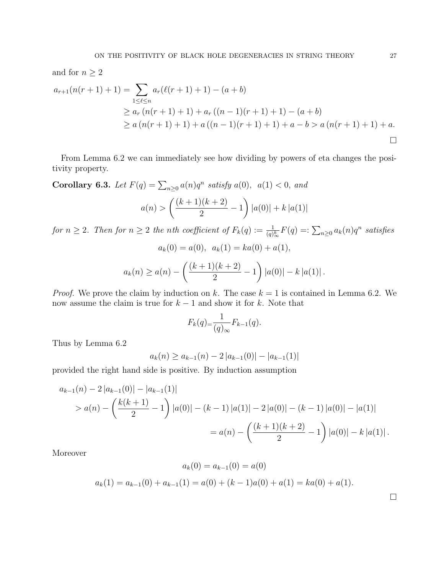and for  $n \geq 2$ 

$$
a_{r+1}(n(r+1)+1) = \sum_{1 \leq \ell \leq n} a_r(\ell(r+1)+1) - (a+b)
$$
  
\n
$$
\geq a_r(n(r+1)+1) + a_r((n-1)(r+1)+1) - (a+b)
$$
  
\n
$$
\geq a(n(r+1)+1) + a((n-1)(r+1)+1) + a - b > a(n(r+1)+1) + a.
$$

From Lemma 6.2 we can immediately see how dividing by powers of eta changes the positivity property.

Corollary 6.3. Let  $F(q) = \sum_{n\geq 0} a(n)q^n$  satisfy  $a(0)$ ,  $a(1) < 0$ , and

$$
a(n) > \left(\frac{(k+1)(k+2)}{2} - 1\right) |a(0)| + k |a(1)|
$$

for  $n \geq 2$ . Then for  $n \geq 2$  the nth coefficient of  $F_k(q) := \frac{1}{(q)_{\infty}^k} F(q) =: \sum_{n \geq 0} a_k(n) q^n$  satisfies

$$
a_k(0) = a(0), \ \ a_k(1) = ka(0) + a(1),
$$

$$
a_k(n) \ge a(n) - \left(\frac{(k+1)(k+2)}{2} - 1\right) |a(0)| - k |a(1)|.
$$

*Proof.* We prove the claim by induction on k. The case  $k = 1$  is contained in Lemma 6.2. We now assume the claim is true for  $k-1$  and show it for k. Note that

$$
F_k(q) = \frac{1}{(q)_{\infty}} F_{k-1}(q).
$$

Thus by Lemma 6.2

$$
a_k(n) \ge a_{k-1}(n) - 2|a_{k-1}(0)| - |a_{k-1}(1)|
$$

provided the right hand side is positive. By induction assumption

$$
a_{k-1}(n) - 2|a_{k-1}(0)| - |a_{k-1}(1)|
$$
  
>  $a(n) - \left(\frac{k(k+1)}{2} - 1\right)|a(0)| - (k-1)|a(1)| - 2|a(0)| - (k-1)|a(0)| - |a(1)|$   
=  $a(n) - \left(\frac{(k+1)(k+2)}{2} - 1\right)|a(0)| - k|a(1)|$ .

Moreover

$$
a_k(0) = a_{k-1}(0) = a(0)
$$
  

$$
a_k(1) = a_{k-1}(0) + a_{k-1}(1) = a(0) + (k-1)a(0) + a(1) = ka(0) + a(1).
$$

 $\Box$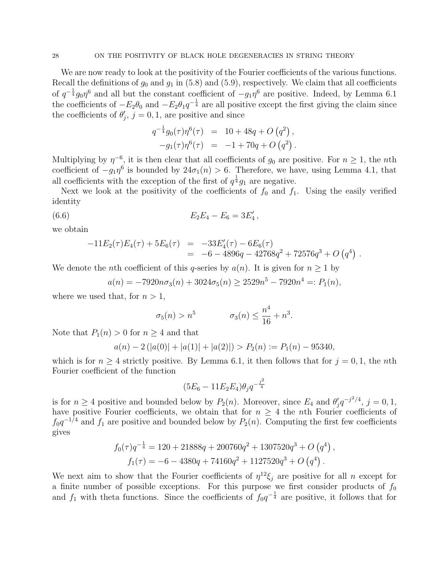We are now ready to look at the positivity of the Fourier coefficients of the various functions. Recall the definitions of  $g_0$  and  $g_1$  in (5.8) and (5.9), respectively. We claim that all coefficients of  $q^{-\frac{1}{4}}g_0\eta^6$  and all but the constant coefficient of  $-g_1\eta^6$  are positive. Indeed, by Lemma 6.1 the coefficients of  $-E_2\theta_0$  and  $-E_2\theta_1q^{-\frac{1}{4}}$  are all positive except the first giving the claim since the coefficients of  $\theta'_j$ ,  $j = 0, 1$ , are positive and since

$$
q^{-\frac{1}{4}}g_0(\tau)\eta^6(\tau) = 10 + 48q + O(q^2),
$$
  

$$
-g_1(\tau)\eta^6(\tau) = -1 + 70q + O(q^2).
$$

Multiplying by  $\eta^{-6}$ , it is then clear that all coefficients of  $g_0$  are positive. For  $n \geq 1$ , the *n*th coefficient of  $-g_1\eta^6$  is bounded by  $24\sigma_1(n) > 6$ . Therefore, we have, using Lemma 4.1, that all coefficients with the exception of the first of  $q^{\frac{1}{4}}g_1$  are negative.

Next we look at the positivity of the coefficients of  $f_0$  and  $f_1$ . Using the easily verified identity

(6.6) 
$$
E_2 E_4 - E_6 = 3E'_4,
$$

we obtain

$$
-11E_2(\tau)E_4(\tau) + 5E_6(\tau) = -33E'_4(\tau) - 6E_6(\tau)
$$
  
= -6 - 4896q - 42768q<sup>2</sup> + 72576q<sup>3</sup> + O(q<sup>4</sup>) .

We denote the *n*th coefficient of this q-series by  $a(n)$ . It is given for  $n \ge 1$  by

$$
a(n) = -7920n\sigma_3(n) + 3024\sigma_5(n) \ge 2529n^5 - 7920n^4 =: P_1(n),
$$

where we used that, for  $n > 1$ ,

$$
\sigma_5(n) > n^5 \qquad \qquad \sigma_3(n) \le \frac{n^4}{16} + n^3.
$$

Note that  $P_1(n) > 0$  for  $n \geq 4$  and that

$$
a(n) - 2(|a(0)| + |a(1)| + |a(2)|) > P_2(n) := P_1(n) - 95340,
$$

which is for  $n \geq 4$  strictly positive. By Lemma 6.1, it then follows that for  $j = 0, 1$ , the nth Fourier coefficient of the function

$$
(5E_6 - 11E_2E_4)\theta_j q^{-\frac{j^2}{4}}
$$

is for  $n \geq 4$  positive and bounded below by  $P_2(n)$ . Moreover, since  $E_4$  and  $\theta'_j q^{-j^2/4}$ ,  $j = 0, 1$ , have positive Fourier coefficients, we obtain that for  $n \geq 4$  the nth Fourier coefficients of  $f_0q^{-1/4}$  and  $f_1$  are positive and bounded below by  $P_2(n)$ . Computing the first few coefficients gives

$$
f_0(\tau)q^{-\frac{1}{4}} = 120 + 21888q + 200760q^2 + 1307520q^3 + O(q^4),
$$
  

$$
f_1(\tau) = -6 - 4380q + 74160q^2 + 1127520q^3 + O(q^4).
$$

We next aim to show that the Fourier coefficients of  $\eta^{12}\xi_j$  are positive for all n except for a finite number of possible exceptions. For this purpose we first consider products of  $f_0$ and  $f_1$  with theta functions. Since the coefficients of  $f_0q^{-\frac{1}{4}}$  are positive, it follows that for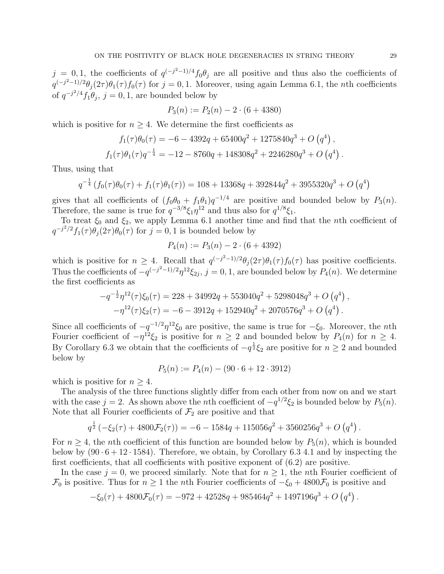$j = 0, 1$ , the coefficients of  $q^{(-j^2-1)/4} f_0 \theta_j$  are all positive and thus also the coefficients of  $q^{(-j^2-1)/2}\theta_j(2\tau)\theta_1(\tau) f_0(\tau)$  for  $j=0,1$ . Moreover, using again Lemma 6.1, the *n*th coefficients of  $q^{-j^2/4}f_1\theta_j$ ,  $j=0,1$ , are bounded below by

$$
P_3(n) := P_2(n) - 2 \cdot (6 + 4380)
$$

which is positive for  $n \geq 4$ . We determine the first coefficients as

$$
f_1(\tau)\theta_0(\tau) = -6 - 4392q + 65400q^2 + 1275840q^3 + O(q^4),
$$
  

$$
f_1(\tau)\theta_1(\tau)q^{-\frac{1}{4}} = -12 - 8760q + 148308q^2 + 2246280q^3 + O(q^4)
$$

Thus, using that

$$
q^{-\frac{1}{4}}\left(f_0(\tau)\theta_0(\tau) + f_1(\tau)\theta_1(\tau)\right) = 108 + 13368q + 392844q^2 + 3955320q^3 + O\left(q^4\right)
$$

gives that all coefficients of  $(f_0\theta_0 + f_1\theta_1)q^{-1/4}$  are positive and bounded below by  $P_3(n)$ . Therefore, the same is true for  $q^{-3/8}\xi_1\eta^{12}$  and thus also for  $q^{1/8}\xi_1$ .

To treat  $\xi_0$  and  $\xi_2$ , we apply Lemma 6.1 another time and find that the *n*th coefficient of  $q^{-j^2/2} f_1(\tau) \theta_j(2\tau) \theta_0(\tau)$  for  $j = 0, 1$  is bounded below by

$$
P_4(n) := P_3(n) - 2 \cdot (6 + 4392)
$$

which is positive for  $n \geq 4$ . Recall that  $q^{(-j^2-1)/2}\theta_j(2\tau)\theta_1(\tau) f_0(\tau)$  has positive coefficients. Thus the coefficients of  $-q^{(-j^2-1)/2}\eta^{12}\xi_{2j}, j=0,1$ , are bounded below by  $P_4(n)$ . We determine the first coefficients as

$$
-q^{-\frac{1}{2}}\eta^{12}(\tau)\xi_0(\tau) = 228 + 34992q + 553040q^2 + 5298048q^3 + O(q^4),
$$
  

$$
-\eta^{12}(\tau)\xi_2(\tau) = -6 - 3912q + 152940q^2 + 2070576q^3 + O(q^4).
$$

Since all coefficients of  $-q^{-1/2}\eta^{12}\xi_0$  are positive, the same is true for  $-\xi_0$ . Moreover, the *n*th Fourier coefficient of  $-\eta^{12}\xi_2$  is positive for  $n \geq 2$  and bounded below by  $P_4(n)$  for  $n \geq 4$ . By Corollary 6.3 we obtain that the coefficients of  $-q^{\frac{1}{2}}\xi_2$  are positive for  $n \geq 2$  and bounded below by

$$
P_5(n) := P_4(n) - (90 \cdot 6 + 12 \cdot 3912)
$$

which is positive for  $n \geq 4$ .

The analysis of the three functions slightly differ from each other from now on and we start with the case  $j = 2$ . As shown above the *n*th coefficient of  $-q^{1/2}\xi_2$  is bounded below by  $P_5(n)$ . Note that all Fourier coefficients of  $\mathcal{F}_2$  are positive and that

$$
q^{\frac{1}{2}}\left(-\xi_2(\tau) + 4800\mathcal{F}_2(\tau)\right) = -6 - 1584q + 115056q^2 + 3560256q^3 + O\left(q^4\right).
$$

For  $n \geq 4$ , the *n*th coefficient of this function are bounded below by  $P_5(n)$ , which is bounded below by  $(90 \cdot 6 + 12 \cdot 1584)$ . Therefore, we obtain, by Corollary 6.3 4.1 and by inspecting the first coefficients, that all coefficients with positive exponent of  $(6.2)$  are positive.

In the case  $j = 0$ , we proceed similarly. Note that for  $n \geq 1$ , the *n*th Fourier coefficient of  $\mathcal{F}_0$  is positive. Thus for  $n \geq 1$  the *n*th Fourier coefficients of  $-\xi_0 + 4800\mathcal{F}_0$  is positive and

$$
-\xi_0(\tau) + 4800\mathcal{F}_0(\tau) = -972 + 42528q + 985464q^2 + 1497196q^3 + O(q^4).
$$

.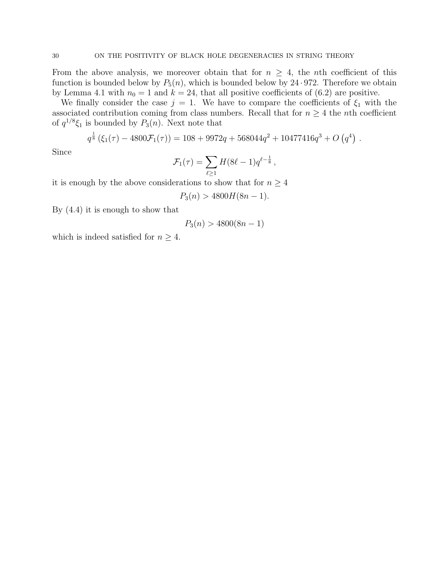From the above analysis, we moreover obtain that for  $n \geq 4$ , the *n*th coefficient of this function is bounded below by  $P_5(n)$ , which is bounded below by 24 · 972. Therefore we obtain by Lemma 4.1 with  $n_0 = 1$  and  $k = 24$ , that all positive coefficients of (6.2) are positive.

We finally consider the case  $j = 1$ . We have to compare the coefficients of  $\xi_1$  with the associated contribution coming from class numbers. Recall that for  $n \geq 4$  the *n*th coefficient of  $q^{1/8}\xi_1$  is bounded by  $P_3(n)$ . Next note that

$$
q^{\frac{1}{8}}(\xi_1(\tau) - 4800\mathcal{F}_1(\tau)) = 108 + 9972q + 568044q^2 + 10477416q^3 + O(q^4).
$$

Since

$$
\mathcal{F}_1(\tau) = \sum_{\ell \ge 1} H(8\ell - 1) q^{\ell - \frac{1}{8}},
$$

it is enough by the above considerations to show that for  $n \geq 4$ 

$$
P_3(n) > 4800H(8n - 1).
$$

By (4.4) it is enough to show that

$$
P_3(n) > 4800(8n - 1)
$$

which is indeed satisfied for  $n \geq 4$ .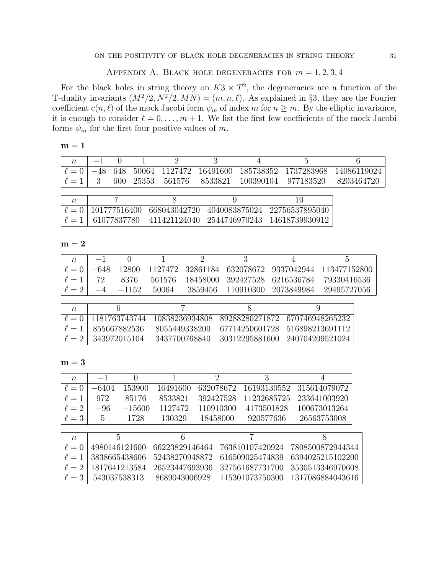## APPENDIX A. BLACK HOLE DEGENERACIES FOR  $m = 1, 2, 3, 4$

For the black holes in string theory on  $K3 \times T^2$ , the degeneracies are a function of the T-duality invariants  $(M^2/2, N^2/2, M\dot{N}) = (m, n, \ell)$ . As explained in §3, they are the Fourier coefficient  $c(n, \ell)$  of the mock Jacobi form  $\psi_m$  of index m for  $n \geq m$ . By the elliptic invariance, it is enough to consider  $\ell = 0, \ldots, m + 1$ . We list the first few coefficients of the mock Jacobi forms  $\psi_m$  for the first four positive values of m.

|--|

| $\boldsymbol{n}$ |              |  |                          |                                                 |               |
|------------------|--------------|--|--------------------------|-------------------------------------------------|---------------|
|                  |              |  |                          | 648 50064 1127472 16491600 185738352 1737283968 | - 14086119024 |
|                  |              |  | 600 25353 561576 8533821 | 100390104 977183520                             | 8203464720    |
|                  |              |  |                          |                                                 |               |
| $n_{\rm}$        |              |  |                          |                                                 |               |
|                  | 101777516400 |  |                          | 668043042720 4040083875024 22756537895040       |               |

 $\lvert \ell = 1 \rvert$  61077837780 411421124040 2544746970243 14618739930912

 $m = 2$ 

| $\eta$   |        | $\theta$      |         |                | 3              |                                | 5               |  |
|----------|--------|---------------|---------|----------------|----------------|--------------------------------|-----------------|--|
| $\ell=0$ | $-648$ | 12800         | 1127472 | 32861184       | 632078672      | 9337042944                     | 113477152800    |  |
| $\ell=1$ | 72     | 8376          | 561576  | 18458000       | 392427528      | 6216536784                     | 79330416536     |  |
| $\ell=2$ | -4     | $-1152$       | 50064   | 3859456        | 110910300      | 2073849984                     | 29495727056     |  |
|          |        |               |         |                |                |                                |                 |  |
| $\eta$   |        |               |         |                |                |                                |                 |  |
| $\ell=0$ |        | 1181763743744 |         | 10838236934808 |                | 89288280271872 670746948265232 |                 |  |
| $\ell=1$ |        | 855667882536  |         | 8055449338200  | 67714250601728 |                                | 516898213691112 |  |
| $\ell=2$ |        | 343972015104  |         | 3437700768840  | 30312295881600 |                                | 240704209521024 |  |

 $\mathbf{m}=\mathbf{3}$ 

| $\boldsymbol{n}$ | $-1$          | $\left( \right)$ |                | $\overline{2}$ | 3               | 4                |
|------------------|---------------|------------------|----------------|----------------|-----------------|------------------|
| $\ell=0$         | $-6404$       | 153900           | 16491600       | 632078672      | 16193130552     | 315614079072     |
| $\ell=1$         | 972           | 85176            | 8533821        | 392427528      | 11232685725     | 233641003920     |
| $\ell=2$         | $-96$         | $-15600$         | 1127472        | 110910300      | 4173501828      | 100673013264     |
| $\ell=3$         | 5             | 1728             | 130329         | 18458000       | 920577636       | 26563753008      |
|                  |               |                  |                |                |                 |                  |
| $\eta$           | 5             |                  | 6              |                | 7               | 8                |
| $\ell=0$         | 4980146121600 |                  | 66223829146464 |                | 763810107420924 | 7808500872944344 |
| $\ell=1$         | 3838665438606 |                  | 52438270948872 |                | 616509025474839 | 6394025215102200 |
| $\ell=2$         |               | 1817641213584    | 26523447693936 |                | 327561687731700 | 3530513346970608 |
| $\ell=3$         | 543037538313  |                  | 8689043006928  |                | 115301073750300 | 1317086884043616 |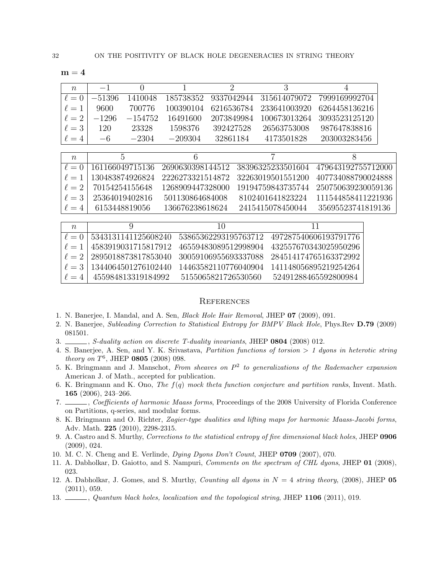|--|--|

| $\eta$     |          |           |           |            |                                   |               |
|------------|----------|-----------|-----------|------------|-----------------------------------|---------------|
| $\ell=0$   | $-51396$ | 1410048   |           |            | 185738352 9337042944 315614079072 | 7999169992704 |
| $\ell = 1$ | 9600     | 700776    | 100390104 | 6216536784 | 233641003920                      | 6264458136216 |
| $\ell = 2$ | $-1296$  | $-154752$ | 16491600  | 2073849984 | 100673013264                      | 3093523125120 |
| $\ell = 3$ | 120      | 23328     | 1598376   | 392427528  | 26563753008                       | 987647838816  |
| $\ell = 4$ | $-6$     | $-2304$   | $-209304$ | 32861184   | 4173501828                        | 203003283456  |

| $n_{\rm s}$  | $\Delta$        | h                |                                    |                     |
|--------------|-----------------|------------------|------------------------------------|---------------------|
| $\ell = 0$   | 161166049715136 |                  | 2690630398144512 38396325233501604 | 479643192755712000  |
| $\ell = 1$   | 130483874926824 | 2226273321514872 | - 32263019501551200                | 407734088790024888  |
| $\ell = 2$   | 70154254155648  | 1268909447328000 | 19194759843735744                  | -250750639230059136 |
| $\ell = 3$   | 25364019402816  | 501130864684008  | 8102401641823224                   | 111544858411221936  |
| $l \ell = 4$ | 6153448819056   | 136676238618624  | 2415415078450044                   | 35695523741819136   |

| $n_{\rm}$    |                                      | 10                  |                                            |
|--------------|--------------------------------------|---------------------|--------------------------------------------|
| $l \ell = 0$ | 5343131141125608240                  |                     | 53865362293195763712 497287540606193791776 |
| $\ell = 1$   | 4583919031715817912                  |                     | 46559483089512998904 432557670343025950296 |
|              | $\ell = 2 \cdot 2895018873817853040$ |                     | 30059106955693337088 284514174765163372992 |
| $\ell = 3$   | 1344064501276102440                  |                     |                                            |
| $l \ell = 4$ | 455984813319184992                   | 5155065821726530560 | 52491288465592800984                       |

## **REFERENCES**

- 1. N. Banerjee, I. Mandal, and A. Sen, Black Hole Hair Removal, JHEP 07 (2009), 091.
- 2. N. Banerjee, Subleading Correction to Statistical Entropy for BMPV Black Hole, Phys.Rev D.79 (2009) 081501.
- 3. S-duality action on discrete T-duality invariants, JHEP 0804 (2008) 012.
- 4. S. Banerjee, A. Sen, and Y. K. Srivastava, Partition functions of torsion > 1 dyons in heterotic string *theory on*  $T^6$ , JHEP **0805** (2008) 098.
- 5. K. Bringmann and J. Manschot, From sheaves on  $P^2$  to generalizations of the Rademacher expansion American J. of Math., accepted for publication.
- 6. K. Bringmann and K. Ono, The  $f(q)$  mock theta function conjecture and partition ranks, Invent. Math. 165 (2006), 243–266.
- 7. , Coefficients of harmonic Maass forms, Proceedings of the 2008 University of Florida Conference on Partitions, q-series, and modular forms.
- 8. K. Bringmann and O. Richter, Zagier-type dualities and lifting maps for harmonic Maass-Jacobi forms, Adv. Math. 225 (2010), 2298-2315.
- 9. A. Castro and S. Murthy, Corrections to the statistical entropy of five dimensional black holes, JHEP 0906 (2009), 024.
- 10. M. C. N. Cheng and E. Verlinde, Dying Dyons Don't Count, JHEP 0709 (2007), 070.
- 11. A. Dabholkar, D. Gaiotto, and S. Nampuri, Comments on the spectrum of CHL dyons, JHEP 01 (2008), 023.
- 12. A. Dabholkar, J. Gomes, and S. Murthy, *Counting all dyons in*  $N = 4$  string theory, (2008), JHEP **05** (2011), 059.
- 13.  $\Box$ , Quantum black holes, localization and the topological string, JHEP 1106 (2011), 019.